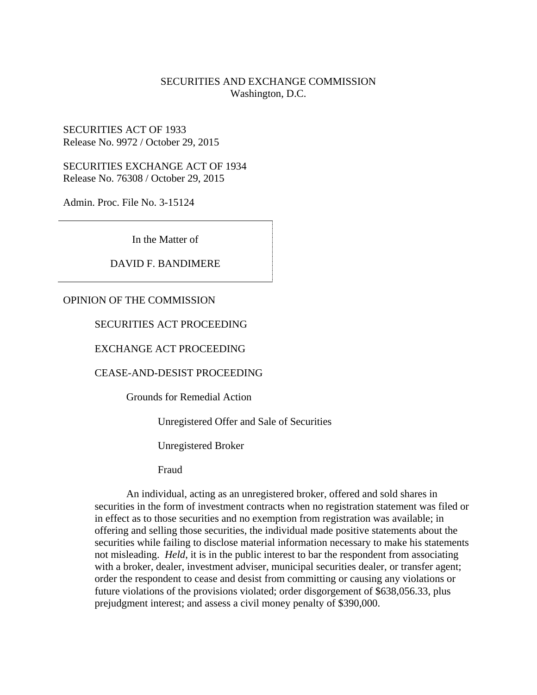#### SECURITIES AND EXCHANGE COMMISSION Washington, D.C.

#### SECURITIES ACT OF 1933 Release No. 9972 / October 29, 2015

SECURITIES EXCHANGE ACT OF 1934 Release No. 76308 / October 29, 2015

Admin. Proc. File No. 3-15124

In the Matter of

#### DAVID F. BANDIMERE

#### OPINION OF THE COMMISSION

#### SECURITIES ACT PROCEEDING

#### EXCHANGE ACT PROCEEDING

#### CEASE-AND-DESIST PROCEEDING

Grounds for Remedial Action

Unregistered Offer and Sale of Securities

Unregistered Broker

Fraud

An individual, acting as an unregistered broker, offered and sold shares in securities in the form of investment contracts when no registration statement was filed or in effect as to those securities and no exemption from registration was available; in offering and selling those securities, the individual made positive statements about the securities while failing to disclose material information necessary to make his statements not misleading. *Held*, it is in the public interest to bar the respondent from associating with a broker, dealer, investment adviser, municipal securities dealer, or transfer agent; order the respondent to cease and desist from committing or causing any violations or future violations of the provisions violated; order disgorgement of \$638,056.33, plus prejudgment interest; and assess a civil money penalty of \$390,000.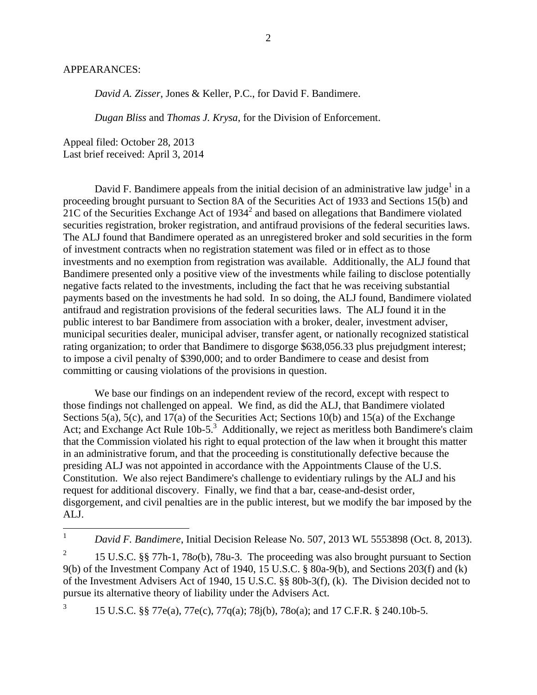#### APPEARANCES:

*David A. Zisser*, Jones & Keller, P.C., for David F. Bandimere.

*Dugan Bliss* and *Thomas J. Krysa*, for the Division of Enforcement.

Appeal filed: October 28, 2013 Last brief received: April 3, 2014

David F. Bandimere appeals from the initial decision of an administrative law judge<sup>1</sup> in a proceeding brought pursuant to Section 8A of the Securities Act of 1933 and Sections 15(b) and  $21C$  of the Securities Exchange Act of  $1934<sup>2</sup>$  and based on allegations that Bandimere violated securities registration, broker registration, and antifraud provisions of the federal securities laws. The ALJ found that Bandimere operated as an unregistered broker and sold securities in the form of investment contracts when no registration statement was filed or in effect as to those investments and no exemption from registration was available. Additionally, the ALJ found that Bandimere presented only a positive view of the investments while failing to disclose potentially negative facts related to the investments, including the fact that he was receiving substantial payments based on the investments he had sold. In so doing, the ALJ found, Bandimere violated antifraud and registration provisions of the federal securities laws. The ALJ found it in the public interest to bar Bandimere from association with a broker, dealer, investment adviser, municipal securities dealer, municipal adviser, transfer agent, or nationally recognized statistical rating organization; to order that Bandimere to disgorge \$638,056.33 plus prejudgment interest; to impose a civil penalty of \$390,000; and to order Bandimere to cease and desist from committing or causing violations of the provisions in question.

We base our findings on an independent review of the record, except with respect to those findings not challenged on appeal. We find, as did the ALJ, that Bandimere violated Sections 5(a), 5(c), and 17(a) of the Securities Act; Sections 10(b) and 15(a) of the Exchange Act; and Exchange Act Rule 10b-5.<sup>3</sup> Additionally, we reject as meritless both Bandimere's claim that the Commission violated his right to equal protection of the law when it brought this matter in an administrative forum, and that the proceeding is constitutionally defective because the presiding ALJ was not appointed in accordance with the Appointments Clause of the U.S. Constitution. We also reject Bandimere's challenge to evidentiary rulings by the ALJ and his request for additional discovery. Finally, we find that a bar, cease-and-desist order, disgorgement, and civil penalties are in the public interest, but we modify the bar imposed by the ALJ.

3 15 U.S.C. §§ 77e(a), 77e(c), 77q(a); 78j(b), 78o(a); and 17 C.F.R. § 240.10b-5.

 $\mathbf{1}$ <sup>1</sup> *David F. Bandimere*, Initial Decision Release No. 507, 2013 WL 5553898 (Oct. 8, 2013).

<sup>2</sup> 15 U.S.C. §§ 77h-1, 78*o*(b), 78u-3. The proceeding was also brought pursuant to Section 9(b) of the Investment Company Act of 1940, 15 U.S.C. § 80a-9(b), and Sections 203(f) and (k) of the Investment Advisers Act of 1940, 15 U.S.C. §§ 80b-3(f), (k). The Division decided not to pursue its alternative theory of liability under the Advisers Act.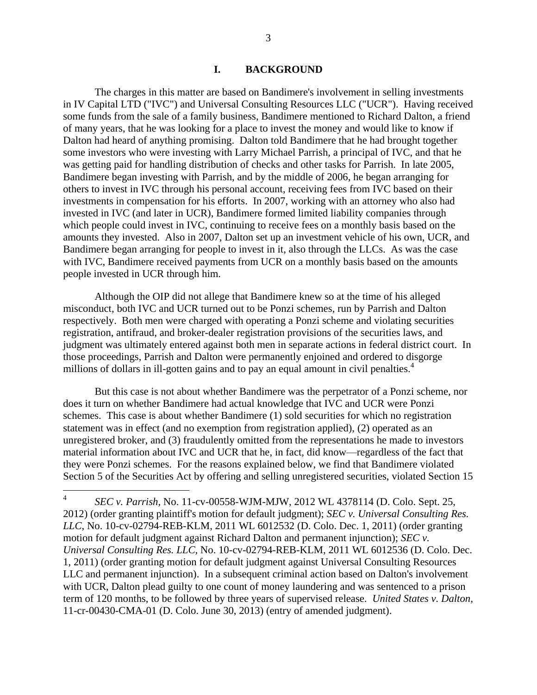#### **I. BACKGROUND**

The charges in this matter are based on Bandimere's involvement in selling investments in IV Capital LTD ("IVC") and Universal Consulting Resources LLC ("UCR"). Having received some funds from the sale of a family business, Bandimere mentioned to Richard Dalton, a friend of many years, that he was looking for a place to invest the money and would like to know if Dalton had heard of anything promising. Dalton told Bandimere that he had brought together some investors who were investing with Larry Michael Parrish, a principal of IVC, and that he was getting paid for handling distribution of checks and other tasks for Parrish. In late 2005, Bandimere began investing with Parrish, and by the middle of 2006, he began arranging for others to invest in IVC through his personal account, receiving fees from IVC based on their investments in compensation for his efforts. In 2007, working with an attorney who also had invested in IVC (and later in UCR), Bandimere formed limited liability companies through which people could invest in IVC, continuing to receive fees on a monthly basis based on the amounts they invested. Also in 2007, Dalton set up an investment vehicle of his own, UCR, and Bandimere began arranging for people to invest in it, also through the LLCs. As was the case with IVC, Bandimere received payments from UCR on a monthly basis based on the amounts people invested in UCR through him.

Although the OIP did not allege that Bandimere knew so at the time of his alleged misconduct, both IVC and UCR turned out to be Ponzi schemes, run by Parrish and Dalton respectively. Both men were charged with operating a Ponzi scheme and violating securities registration, antifraud, and broker-dealer registration provisions of the securities laws, and judgment was ultimately entered against both men in separate actions in federal district court. In those proceedings, Parrish and Dalton were permanently enjoined and ordered to disgorge millions of dollars in ill-gotten gains and to pay an equal amount in civil penalties.<sup>4</sup>

But this case is not about whether Bandimere was the perpetrator of a Ponzi scheme, nor does it turn on whether Bandimere had actual knowledge that IVC and UCR were Ponzi schemes. This case is about whether Bandimere (1) sold securities for which no registration statement was in effect (and no exemption from registration applied), (2) operated as an unregistered broker, and (3) fraudulently omitted from the representations he made to investors material information about IVC and UCR that he, in fact, did know—regardless of the fact that they were Ponzi schemes. For the reasons explained below, we find that Bandimere violated Section 5 of the Securities Act by offering and selling unregistered securities, violated Section 15

 $\frac{1}{4}$ *SEC v. Parrish*, No. 11-cv-00558-WJM-MJW, 2012 WL 4378114 (D. Colo. Sept. 25, 2012) (order granting plaintiff's motion for default judgment); *SEC v. Universal Consulting Res. LLC*, No. 10-cv-02794-REB-KLM, 2011 WL 6012532 (D. Colo. Dec. 1, 2011) (order granting motion for default judgment against Richard Dalton and permanent injunction); *SEC v. Universal Consulting Res. LLC*, No. 10-cv-02794-REB-KLM, 2011 WL 6012536 (D. Colo. Dec. 1, 2011) (order granting motion for default judgment against Universal Consulting Resources LLC and permanent injunction). In a subsequent criminal action based on Dalton's involvement with UCR, Dalton plead guilty to one count of money laundering and was sentenced to a prison term of 120 months, to be followed by three years of supervised release. *United States v. Dalton*, 11-cr-00430-CMA-01 (D. Colo. June 30, 2013) (entry of amended judgment).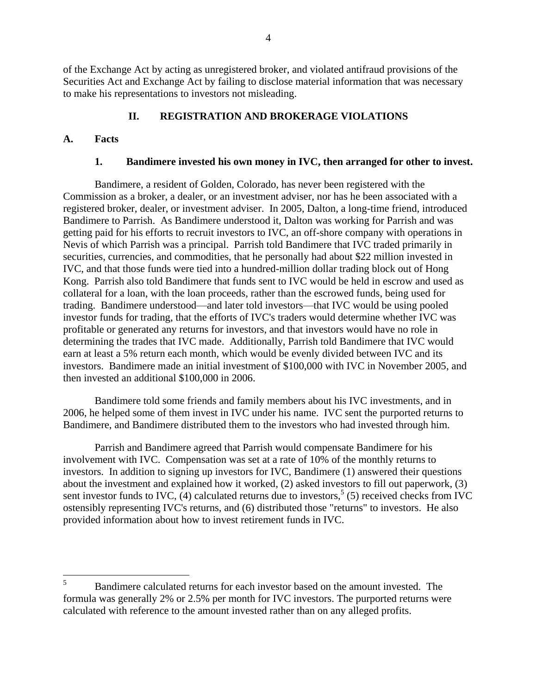of the Exchange Act by acting as unregistered broker, and violated antifraud provisions of the Securities Act and Exchange Act by failing to disclose material information that was necessary to make his representations to investors not misleading.

# **II. REGISTRATION AND BROKERAGE VIOLATIONS**

## **A. Facts**

## **1. Bandimere invested his own money in IVC, then arranged for other to invest.**

Bandimere, a resident of Golden, Colorado, has never been registered with the Commission as a broker, a dealer, or an investment adviser, nor has he been associated with a registered broker, dealer, or investment adviser. In 2005, Dalton, a long-time friend, introduced Bandimere to Parrish. As Bandimere understood it, Dalton was working for Parrish and was getting paid for his efforts to recruit investors to IVC, an off-shore company with operations in Nevis of which Parrish was a principal. Parrish told Bandimere that IVC traded primarily in securities, currencies, and commodities, that he personally had about \$22 million invested in IVC, and that those funds were tied into a hundred-million dollar trading block out of Hong Kong. Parrish also told Bandimere that funds sent to IVC would be held in escrow and used as collateral for a loan, with the loan proceeds, rather than the escrowed funds, being used for trading. Bandimere understood—and later told investors—that IVC would be using pooled investor funds for trading, that the efforts of IVC's traders would determine whether IVC was profitable or generated any returns for investors, and that investors would have no role in determining the trades that IVC made. Additionally, Parrish told Bandimere that IVC would earn at least a 5% return each month, which would be evenly divided between IVC and its investors. Bandimere made an initial investment of \$100,000 with IVC in November 2005, and then invested an additional \$100,000 in 2006.

Bandimere told some friends and family members about his IVC investments, and in 2006, he helped some of them invest in IVC under his name. IVC sent the purported returns to Bandimere, and Bandimere distributed them to the investors who had invested through him.

Parrish and Bandimere agreed that Parrish would compensate Bandimere for his involvement with IVC. Compensation was set at a rate of 10% of the monthly returns to investors. In addition to signing up investors for IVC, Bandimere (1) answered their questions about the investment and explained how it worked, (2) asked investors to fill out paperwork, (3) sent investor funds to IVC,  $(4)$  calculated returns due to investors,<sup>5</sup> (5) received checks from IVC ostensibly representing IVC's returns, and (6) distributed those "returns" to investors. He also provided information about how to invest retirement funds in IVC.

 $5<sup>1</sup>$ <sup>5</sup> Bandimere calculated returns for each investor based on the amount invested. The formula was generally 2% or 2.5% per month for IVC investors. The purported returns were calculated with reference to the amount invested rather than on any alleged profits.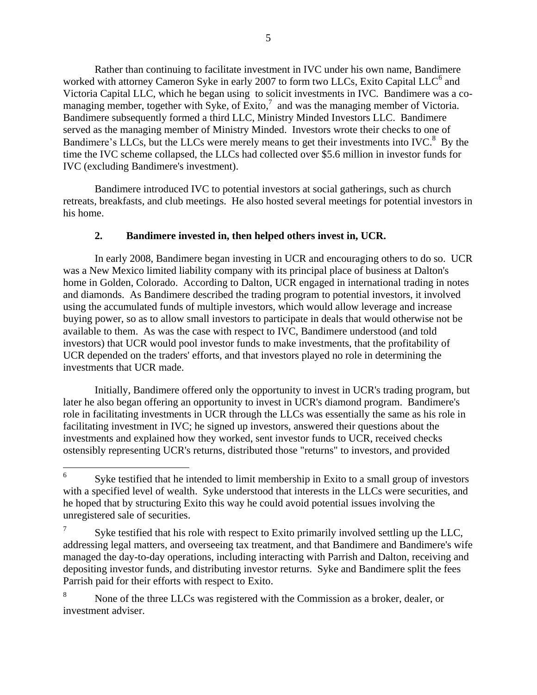Rather than continuing to facilitate investment in IVC under his own name, Bandimere worked with attorney Cameron Syke in early 2007 to form two LLCs, Exito Capital LLC<sup>6</sup> and Victoria Capital LLC, which he began using to solicit investments in IVC. Bandimere was a comanaging member, together with Syke, of Exito, $^7$  and was the managing member of Victoria. Bandimere subsequently formed a third LLC, Ministry Minded Investors LLC. Bandimere served as the managing member of Ministry Minded. Investors wrote their checks to one of Bandimere's LLCs, but the LLCs were merely means to get their investments into IVC.<sup>8</sup> By the time the IVC scheme collapsed, the LLCs had collected over \$5.6 million in investor funds for IVC (excluding Bandimere's investment).

Bandimere introduced IVC to potential investors at social gatherings, such as church retreats, breakfasts, and club meetings. He also hosted several meetings for potential investors in his home.

## **2. Bandimere invested in, then helped others invest in, UCR.**

In early 2008, Bandimere began investing in UCR and encouraging others to do so. UCR was a New Mexico limited liability company with its principal place of business at Dalton's home in Golden, Colorado. According to Dalton, UCR engaged in international trading in notes and diamonds. As Bandimere described the trading program to potential investors, it involved using the accumulated funds of multiple investors, which would allow leverage and increase buying power, so as to allow small investors to participate in deals that would otherwise not be available to them. As was the case with respect to IVC, Bandimere understood (and told investors) that UCR would pool investor funds to make investments, that the profitability of UCR depended on the traders' efforts, and that investors played no role in determining the investments that UCR made.

Initially, Bandimere offered only the opportunity to invest in UCR's trading program, but later he also began offering an opportunity to invest in UCR's diamond program. Bandimere's role in facilitating investments in UCR through the LLCs was essentially the same as his role in facilitating investment in IVC; he signed up investors, answered their questions about the investments and explained how they worked, sent investor funds to UCR, received checks ostensibly representing UCR's returns, distributed those "returns" to investors, and provided

 $\overline{a}$ 

<sup>6</sup> Syke testified that he intended to limit membership in Exito to a small group of investors with a specified level of wealth. Syke understood that interests in the LLCs were securities, and he hoped that by structuring Exito this way he could avoid potential issues involving the unregistered sale of securities.

<sup>7</sup> Syke testified that his role with respect to Exito primarily involved settling up the LLC, addressing legal matters, and overseeing tax treatment, and that Bandimere and Bandimere's wife managed the day-to-day operations, including interacting with Parrish and Dalton, receiving and depositing investor funds, and distributing investor returns. Syke and Bandimere split the fees Parrish paid for their efforts with respect to Exito.

<sup>&</sup>lt;sup>8</sup> None of the three LLCs was registered with the Commission as a broker, dealer, or investment adviser.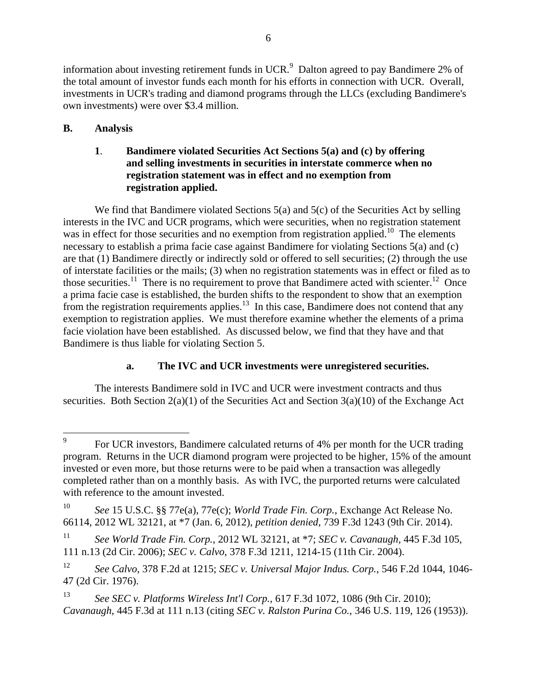information about investing retirement funds in UCR. $^9$  Dalton agreed to pay Bandimere 2% of the total amount of investor funds each month for his efforts in connection with UCR. Overall, investments in UCR's trading and diamond programs through the LLCs (excluding Bandimere's own investments) were over \$3.4 million.

# **B. Analysis**

## **1**. **Bandimere violated Securities Act Sections 5(a) and (c) by offering and selling investments in securities in interstate commerce when no registration statement was in effect and no exemption from registration applied.**

We find that Bandimere violated Sections 5(a) and 5(c) of the Securities Act by selling interests in the IVC and UCR programs, which were securities, when no registration statement was in effect for those securities and no exemption from registration applied.<sup>10</sup> The elements necessary to establish a prima facie case against Bandimere for violating Sections 5(a) and (c) are that (1) Bandimere directly or indirectly sold or offered to sell securities; (2) through the use of interstate facilities or the mails; (3) when no registration statements was in effect or filed as to those securities.<sup>11</sup> There is no requirement to prove that Bandimere acted with scienter.<sup>12</sup> Once a prima facie case is established, the burden shifts to the respondent to show that an exemption from the registration requirements applies.<sup>13</sup> In this case, Bandimere does not contend that any exemption to registration applies. We must therefore examine whether the elements of a prima facie violation have been established. As discussed below, we find that they have and that Bandimere is thus liable for violating Section 5.

## **a. The IVC and UCR investments were unregistered securities.**

The interests Bandimere sold in IVC and UCR were investment contracts and thus securities. Both Section  $2(a)(1)$  of the Securities Act and Section  $3(a)(10)$  of the Exchange Act

<sup>—&</sup>lt;br>9 For UCR investors, Bandimere calculated returns of 4% per month for the UCR trading program. Returns in the UCR diamond program were projected to be higher, 15% of the amount invested or even more, but those returns were to be paid when a transaction was allegedly completed rather than on a monthly basis. As with IVC, the purported returns were calculated with reference to the amount invested.

<sup>10</sup> *See* 15 U.S.C. §§ 77e(a), 77e(c); *World Trade Fin. Corp.*, Exchange Act Release No. 66114, 2012 WL 32121, at \*7 (Jan. 6, 2012), *petition denied*, 739 F.3d 1243 (9th Cir. 2014).

<sup>11</sup> *See World Trade Fin. Corp.*, 2012 WL 32121, at \*7; *SEC v. Cavanaugh*, 445 F.3d 105, 111 n.13 (2d Cir. 2006); *SEC v. Calvo*, 378 F.3d 1211, 1214-15 (11th Cir. 2004).

<sup>12</sup> *See Calvo*, 378 F.2d at 1215; *SEC v. Universal Major Indus. Corp.*, 546 F.2d 1044, 1046- 47 (2d Cir. 1976).

<sup>13</sup> *See SEC v. Platforms Wireless Int'l Corp.*, 617 F.3d 1072, 1086 (9th Cir. 2010); *Cavanaugh*, 445 F.3d at 111 n.13 (citing *SEC v. Ralston Purina Co.*, 346 U.S. 119, 126 (1953)).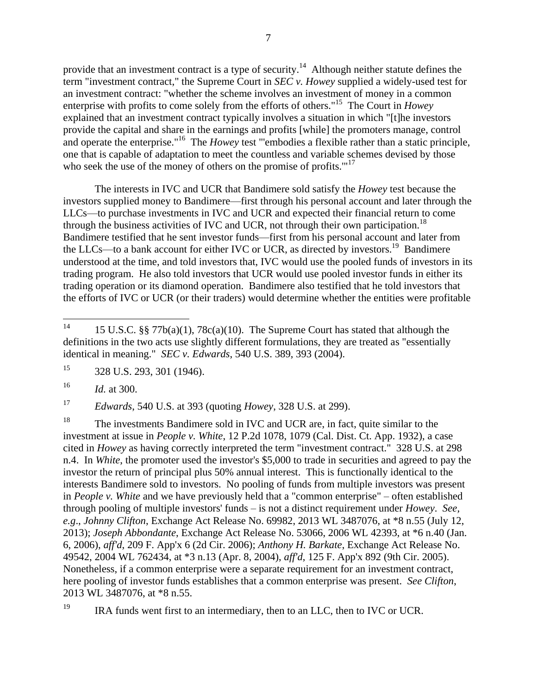provide that an investment contract is a type of security.<sup>14</sup> Although neither statute defines the term "investment contract," the Supreme Court in *SEC v. Howey* supplied a widely-used test for an investment contract: "whether the scheme involves an investment of money in a common enterprise with profits to come solely from the efforts of others."<sup>15</sup> The Court in *Howey* explained that an investment contract typically involves a situation in which "[t]he investors provide the capital and share in the earnings and profits [while] the promoters manage, control and operate the enterprise."<sup>16</sup> The *Howey* test "'embodies a flexible rather than a static principle, one that is capable of adaptation to meet the countless and variable schemes devised by those who seek the use of the money of others on the promise of profits."<sup>17</sup>

The interests in IVC and UCR that Bandimere sold satisfy the *Howey* test because the investors supplied money to Bandimere—first through his personal account and later through the LLCs—to purchase investments in IVC and UCR and expected their financial return to come through the business activities of IVC and UCR, not through their own participation.<sup>18</sup> Bandimere testified that he sent investor funds—first from his personal account and later from the LLCs—to a bank account for either IVC or UCR, as directed by investors.<sup>19</sup> Bandimere understood at the time, and told investors that, IVC would use the pooled funds of investors in its trading program. He also told investors that UCR would use pooled investor funds in either its trading operation or its diamond operation. Bandimere also testified that he told investors that the efforts of IVC or UCR (or their traders) would determine whether the entities were profitable

<sup>16</sup> *Id.* at 300.

<sup>17</sup> *Edwards*, 540 U.S. at 393 (quoting *Howey*, 328 U.S. at 299).

<sup>18</sup> The investments Bandimere sold in IVC and UCR are, in fact, quite similar to the investment at issue in *People v. White*, 12 P.2d 1078, 1079 (Cal. Dist. Ct. App. 1932), a case cited in *Howey* as having correctly interpreted the term "investment contract." 328 U.S. at 298 n.4. In *White*, the promoter used the investor's \$5,000 to trade in securities and agreed to pay the investor the return of principal plus 50% annual interest. This is functionally identical to the interests Bandimere sold to investors. No pooling of funds from multiple investors was present in *People v. White* and we have previously held that a "common enterprise" – often established through pooling of multiple investors' funds – is not a distinct requirement under *Howey*. *See, e.g*., *Johnny Clifton*, Exchange Act Release No. 69982, 2013 WL 3487076, at \*8 n.55 (July 12, 2013); *Joseph Abbondante*, Exchange Act Release No. 53066, 2006 WL 42393, at \*6 n.40 (Jan. 6, 2006), *aff'd*, 209 F. App'x 6 (2d Cir. 2006); *Anthony H. Barkate*, Exchange Act Release No. 49542, 2004 WL 762434, at \*3 n.13 (Apr. 8, 2004), *aff'd*, 125 F. App'x 892 (9th Cir. 2005). Nonetheless, if a common enterprise were a separate requirement for an investment contract, here pooling of investor funds establishes that a common enterprise was present. *See Clifton*, 2013 WL 3487076, at \*8 n.55.

<sup>19</sup> IRA funds went first to an intermediary, then to an LLC, then to IVC or UCR.

 $14$ 15 U.S.C. §§ 77 $b(a)(1)$ , 78 $c(a)(10)$ . The Supreme Court has stated that although the definitions in the two acts use slightly different formulations, they are treated as "essentially identical in meaning." *SEC v. Edwards*, 540 U.S. 389, 393 (2004).

<sup>15</sup> 328 U.S. 293, 301 (1946).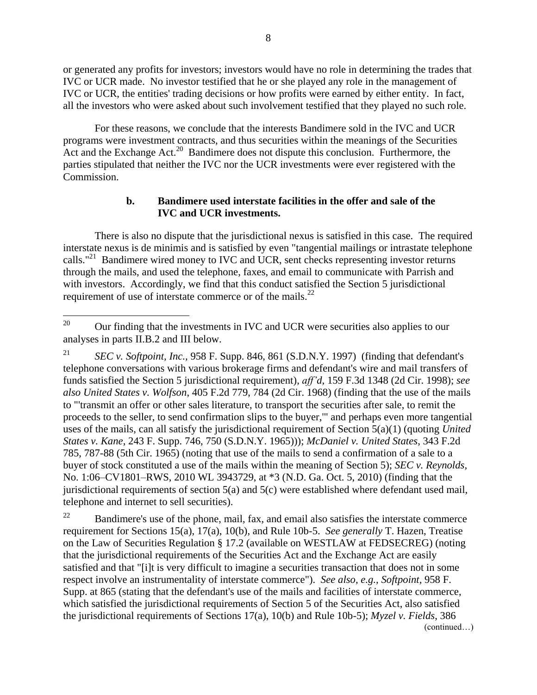or generated any profits for investors; investors would have no role in determining the trades that IVC or UCR made. No investor testified that he or she played any role in the management of IVC or UCR, the entities' trading decisions or how profits were earned by either entity. In fact, all the investors who were asked about such involvement testified that they played no such role.

For these reasons, we conclude that the interests Bandimere sold in the IVC and UCR programs were investment contracts, and thus securities within the meanings of the Securities Act and the Exchange Act.<sup>20</sup> Bandimere does not dispute this conclusion. Furthermore, the parties stipulated that neither the IVC nor the UCR investments were ever registered with the Commission.

#### **b. Bandimere used interstate facilities in the offer and sale of the IVC and UCR investments.**

There is also no dispute that the jurisdictional nexus is satisfied in this case. The required interstate nexus is de minimis and is satisfied by even "tangential mailings or intrastate telephone calls."<sup>21</sup> Bandimere wired money to IVC and UCR, sent checks representing investor returns through the mails, and used the telephone, faxes, and email to communicate with Parrish and with investors. Accordingly, we find that this conduct satisfied the Section 5 jurisdictional requirement of use of interstate commerce or of the mails. $^{22}$ 

<sup>21</sup> *SEC v. Softpoint, Inc.,* 958 F. Supp. 846, 861 (S.D.N.Y. 1997) (finding that defendant's telephone conversations with various brokerage firms and defendant's wire and mail transfers of funds satisfied the Section 5 jurisdictional requirement), *aff'd*, 159 F.3d 1348 (2d Cir. 1998); *see also United States v. Wolfson*, 405 F.2d 779, 784 (2d Cir. 1968) (finding that the use of the mails to "'transmit an offer or other sales literature, to transport the securities after sale, to remit the proceeds to the seller, to send confirmation slips to the buyer,'" and perhaps even more tangential uses of the mails, can all satisfy the jurisdictional requirement of Section 5(a)(1) (quoting *United States v. Kane*, 243 F. Supp. 746, 750 (S.D.N.Y. 1965))); *McDaniel v. United States*, 343 F.2d 785, 787-88 (5th Cir. 1965) (noting that use of the mails to send a confirmation of a sale to a buyer of stock constituted a use of the mails within the meaning of Section 5); *SEC v. Reynolds,* No. 1:06–CV1801–RWS, 2010 WL 3943729, at \*3 (N.D. Ga. Oct. 5, 2010) (finding that the jurisdictional requirements of section  $5(a)$  and  $5(c)$  were established where defendant used mail, telephone and internet to sell securities).

 $22$  Bandimere's use of the phone, mail, fax, and email also satisfies the interstate commerce requirement for Sections 15(a), 17(a), 10(b), and Rule 10b-5. *See generally* T. Hazen, Treatise on the Law of Securities Regulation § 17.2 (available on WESTLAW at FEDSECREG) (noting that the jurisdictional requirements of the Securities Act and the Exchange Act are easily satisfied and that "[i]t is very difficult to imagine a securities transaction that does not in some respect involve an instrumentality of interstate commerce"). *See also, e.g., Softpoint,* 958 F. Supp. at 865 (stating that the defendant's use of the mails and facilities of interstate commerce, which satisfied the jurisdictional requirements of Section 5 of the Securities Act, also satisfied the jurisdictional requirements of Sections 17(a), 10(b) and Rule 10b-5); *Myzel v. Fields*, 386 (continued…)

 $20\,$ <sup>20</sup> Our finding that the investments in IVC and UCR were securities also applies to our analyses in parts II.B.2 and III below.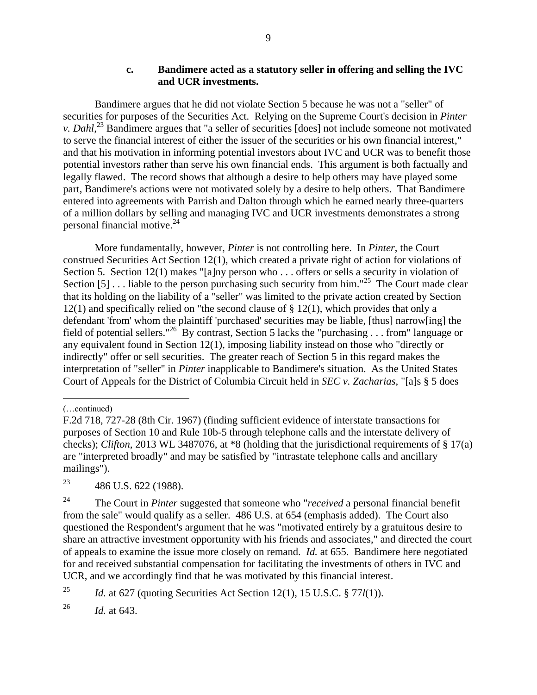#### **c. Bandimere acted as a statutory seller in offering and selling the IVC and UCR investments.**

Bandimere argues that he did not violate Section 5 because he was not a "seller" of securities for purposes of the Securities Act. Relying on the Supreme Court's decision in *Pinter v. Dahl*<sup>23</sup> Bandimere argues that "a seller of securities [does] not include someone not motivated to serve the financial interest of either the issuer of the securities or his own financial interest," and that his motivation in informing potential investors about IVC and UCR was to benefit those potential investors rather than serve his own financial ends. This argument is both factually and legally flawed. The record shows that although a desire to help others may have played some part, Bandimere's actions were not motivated solely by a desire to help others. That Bandimere entered into agreements with Parrish and Dalton through which he earned nearly three-quarters of a million dollars by selling and managing IVC and UCR investments demonstrates a strong personal financial motive. 24

More fundamentally, however, *Pinter* is not controlling here. In *Pinter*, the Court construed Securities Act Section 12(1), which created a private right of action for violations of Section 5. Section 12(1) makes "[a]ny person who . . . offers or sells a security in violation of Section  $[5]$ ... liable to the person purchasing such security from him."<sup>25</sup> The Court made clear that its holding on the liability of a "seller" was limited to the private action created by Section 12(1) and specifically relied on "the second clause of § 12(1), which provides that only a defendant 'from' whom the plaintiff 'purchased' securities may be liable, [thus] narrow[ing] the field of potential sellers."<sup>26</sup> By contrast, Section 5 lacks the "purchasing . . . from" language or any equivalent found in Section 12(1), imposing liability instead on those who "directly or indirectly" offer or sell securities. The greater reach of Section 5 in this regard makes the interpretation of "seller" in *Pinter* inapplicable to Bandimere's situation. As the United States Court of Appeals for the District of Columbia Circuit held in *SEC v. Zacharias*, "[a]s § 5 does

 $\overline{a}$ 

<sup>23</sup> 486 U.S. 622 (1988).

<sup>25</sup> *Id.* at 627 (quoting Securities Act Section 12(1), 15 U.S.C. § 77 $l(1)$ ).

<sup>26</sup> *Id.* at 643.

<sup>(…</sup>continued)

F.2d 718, 727-28 (8th Cir. 1967) (finding sufficient evidence of interstate transactions for purposes of Section 10 and Rule 10b-5 through telephone calls and the interstate delivery of checks); *Clifton*, 2013 WL 3487076, at \*8 (holding that the jurisdictional requirements of § 17(a) are "interpreted broadly" and may be satisfied by "intrastate telephone calls and ancillary mailings").

<sup>24</sup> The Court in *Pinter* suggested that someone who "*received* a personal financial benefit from the sale" would qualify as a seller. 486 U.S. at 654 (emphasis added). The Court also questioned the Respondent's argument that he was "motivated entirely by a gratuitous desire to share an attractive investment opportunity with his friends and associates," and directed the court of appeals to examine the issue more closely on remand. *Id.* at 655. Bandimere here negotiated for and received substantial compensation for facilitating the investments of others in IVC and UCR, and we accordingly find that he was motivated by this financial interest.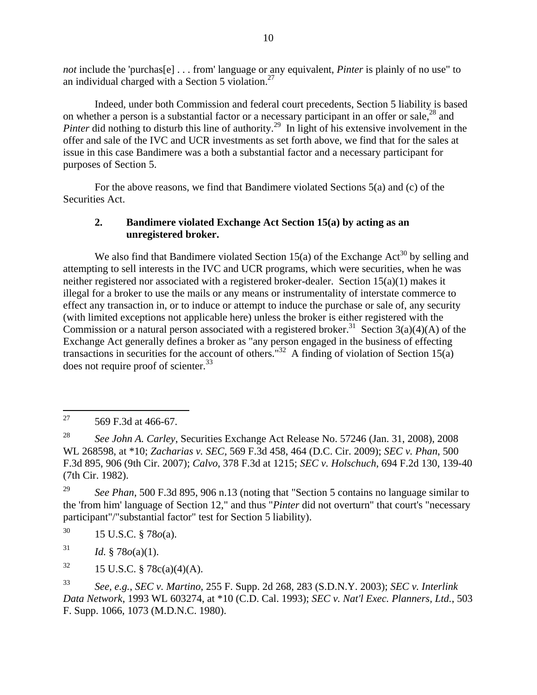*not* include the 'purchas[e] . . . from' language or any equivalent, *Pinter* is plainly of no use" to an individual charged with a Section 5 violation.<sup>27</sup>

Indeed, under both Commission and federal court precedents, Section 5 liability is based on whether a person is a substantial factor or a necessary participant in an offer or sale,<sup>28</sup> and Pinter did nothing to disturb this line of authority.<sup>29</sup> In light of his extensive involvement in the offer and sale of the IVC and UCR investments as set forth above, we find that for the sales at issue in this case Bandimere was a both a substantial factor and a necessary participant for purposes of Section 5.

For the above reasons, we find that Bandimere violated Sections 5(a) and (c) of the Securities Act.

## **2. Bandimere violated Exchange Act Section 15(a) by acting as an unregistered broker.**

We also find that Bandimere violated Section 15(a) of the Exchange Act<sup>30</sup> by selling and attempting to sell interests in the IVC and UCR programs, which were securities, when he was neither registered nor associated with a registered broker-dealer. Section 15(a)(1) makes it illegal for a broker to use the mails or any means or instrumentality of interstate commerce to effect any transaction in, or to induce or attempt to induce the purchase or sale of, any security (with limited exceptions not applicable here) unless the broker is either registered with the Commission or a natural person associated with a registered broker.<sup>31</sup> Section 3(a)(4)(A) of the Exchange Act generally defines a broker as "any person engaged in the business of effecting transactions in securities for the account of others."<sup>32</sup> A finding of violation of Section 15(a) does not require proof of scienter.<sup>33</sup>

<sup>31</sup> *Id.* § 78 $o$ (a)(1).

 $32 \qquad 15 \text{ U.S.C. } \frac{8}{3} \cdot 78c(a)(4)(A).$ 

<sup>33</sup> *See, e.g.*, *SEC v. Martino*, 255 F. Supp. 2d 268, 283 (S.D.N.Y. 2003); *SEC v. Interlink Data Network*, 1993 WL 603274, at \*10 (C.D. Cal. 1993); *SEC v. Nat'l Exec. Planners, Ltd.*, 503 F. Supp. 1066, 1073 (M.D.N.C. 1980).

<sup>27</sup> 569 F.3d at 466-67.

<sup>28</sup> *See John A. Carley*, Securities Exchange Act Release No. 57246 (Jan. 31, 2008), 2008 WL 268598, at \*10; *Zacharias v. SEC,* 569 F.3d 458, 464 (D.C. Cir. 2009); *SEC v. Phan*, 500 F.3d 895, 906 (9th Cir. 2007); *Calvo*, 378 F.3d at 1215; *SEC v. Holschuch*, 694 F.2d 130, 139-40 (7th Cir. 1982).

<sup>&</sup>lt;sup>29</sup> *See Phan*, 500 F.3d 895, 906 n.13 (noting that "Section 5 contains no language similar to the 'from him' language of Section 12," and thus "*Pinter* did not overturn" that court's "necessary participant"/"substantial factor" test for Section 5 liability).

<sup>30</sup> 15 U.S.C. § 78*o*(a).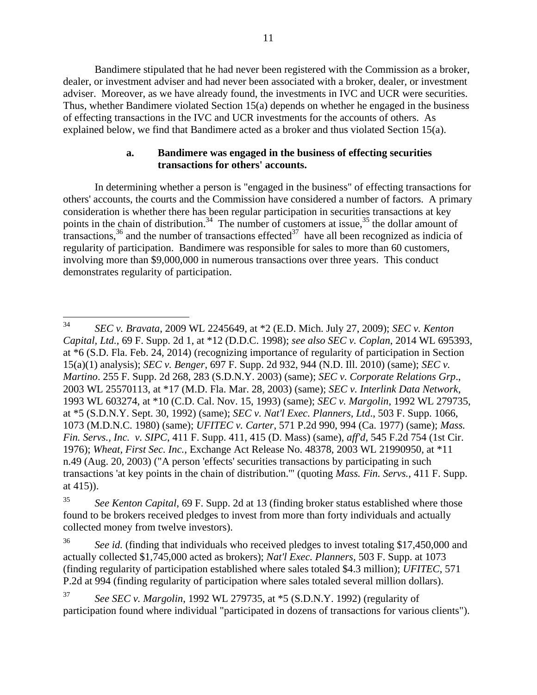Bandimere stipulated that he had never been registered with the Commission as a broker, dealer, or investment adviser and had never been associated with a broker, dealer, or investment adviser. Moreover, as we have already found, the investments in IVC and UCR were securities. Thus, whether Bandimere violated Section 15(a) depends on whether he engaged in the business of effecting transactions in the IVC and UCR investments for the accounts of others. As explained below, we find that Bandimere acted as a broker and thus violated Section 15(a).

#### **a. Bandimere was engaged in the business of effecting securities transactions for others' accounts.**

In determining whether a person is "engaged in the business" of effecting transactions for others' accounts, the courts and the Commission have considered a number of factors. A primary consideration is whether there has been regular participation in securities transactions at key points in the chain of distribution.<sup>34</sup> The number of customers at issue,<sup>35</sup> the dollar amount of transactions,  $36$  and the number of transactions effected  $37$  have all been recognized as indicia of regularity of participation. Bandimere was responsible for sales to more than 60 customers, involving more than \$9,000,000 in numerous transactions over three years. This conduct demonstrates regularity of participation.

<sup>36</sup> *See id.* (finding that individuals who received pledges to invest totaling \$17,450,000 and actually collected \$1,745,000 acted as brokers); *Nat'l Exec. Planners*, 503 F. Supp. at 1073 (finding regularity of participation established where sales totaled \$4.3 million); *UFITEC*, 571 P.2d at 994 (finding regularity of participation where sales totaled several million dollars).

<sup>37</sup> *See SEC v. Margolin*, 1992 WL 279735, at \*5 (S.D.N.Y. 1992) (regularity of participation found where individual "participated in dozens of transactions for various clients").

<sup>34</sup> <sup>34</sup> *SEC v. Bravata*, 2009 WL 2245649, at \*2 (E.D. Mich. July 27, 2009); *SEC v. Kenton Capital, Ltd.*, 69 F. Supp. 2d 1, at \*12 (D.D.C. 1998); *see also SEC v. Coplan*, 2014 WL 695393, at \*6 (S.D. Fla. Feb. 24, 2014) (recognizing importance of regularity of participation in Section 15(a)(1) analysis); *SEC v. Benger*, 697 F. Supp. 2d 932, 944 (N.D. Ill. 2010) (same); *SEC v. Martino*. 255 F. Supp. 2d 268, 283 (S.D.N.Y. 2003) (same); *SEC v. Corporate Relations Grp*., 2003 WL 25570113, at \*17 (M.D. Fla. Mar. 28, 2003) (same); *SEC v. Interlink Data Network*, 1993 WL 603274, at \*10 (C.D. Cal. Nov. 15, 1993) (same); *SEC v. Margolin*, 1992 WL 279735, at \*5 (S.D.N.Y. Sept. 30, 1992) (same); *SEC v. Nat'l Exec. Planners, Ltd*., 503 F. Supp. 1066, 1073 (M.D.N.C. 1980) (same); *UFITEC v. Carter*, 571 P.2d 990, 994 (Ca. 1977) (same); *Mass. Fin. Servs., Inc. v. SIPC*, 411 F. Supp. 411, 415 (D. Mass) (same), *aff'd*, 545 F.2d 754 (1st Cir. 1976); *Wheat, First Sec. Inc.*, Exchange Act Release No. 48378, 2003 WL 21990950, at \*11 n.49 (Aug. 20, 2003) ("A person 'effects' securities transactions by participating in such transactions 'at key points in the chain of distribution.'" (quoting *Mass. Fin. Servs.*, 411 F. Supp. at 415)).

<sup>35</sup> *See Kenton Capital*, 69 F. Supp. 2d at 13 (finding broker status established where those found to be brokers received pledges to invest from more than forty individuals and actually collected money from twelve investors).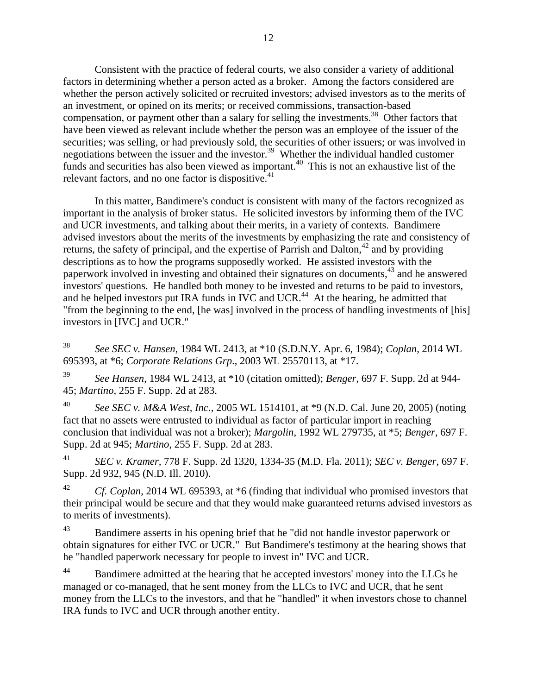Consistent with the practice of federal courts, we also consider a variety of additional factors in determining whether a person acted as a broker. Among the factors considered are whether the person actively solicited or recruited investors; advised investors as to the merits of an investment, or opined on its merits; or received commissions, transaction-based compensation, or payment other than a salary for selling the investments.<sup>38</sup> Other factors that have been viewed as relevant include whether the person was an employee of the issuer of the securities; was selling, or had previously sold, the securities of other issuers; or was involved in negotiations between the issuer and the investor.<sup>39</sup> Whether the individual handled customer funds and securities has also been viewed as important.<sup>40</sup> This is not an exhaustive list of the relevant factors, and no one factor is dispositive.<sup>41</sup>

In this matter, Bandimere's conduct is consistent with many of the factors recognized as important in the analysis of broker status. He solicited investors by informing them of the IVC and UCR investments, and talking about their merits, in a variety of contexts. Bandimere advised investors about the merits of the investments by emphasizing the rate and consistency of returns, the safety of principal, and the expertise of Parrish and Dalton,  $42$  and by providing descriptions as to how the programs supposedly worked. He assisted investors with the paperwork involved in investing and obtained their signatures on documents, <sup>43</sup> and he answered investors' questions. He handled both money to be invested and returns to be paid to investors, and he helped investors put IRA funds in IVC and UCR.<sup>44</sup> At the hearing, he admitted that "from the beginning to the end, [he was] involved in the process of handling investments of [his] investors in [IVC] and UCR."

<sup>39</sup> *See Hansen*, 1984 WL 2413, at \*10 (citation omitted); *Benger*, 697 F. Supp. 2d at 944- 45; *Martino*, 255 F. Supp. 2d at 283.

<sup>40</sup> *See SEC v. M&A West, Inc.*, 2005 WL 1514101, at \*9 (N.D. Cal. June 20, 2005) (noting fact that no assets were entrusted to individual as factor of particular import in reaching conclusion that individual was not a broker); *Margolin*, 1992 WL 279735, at \*5; *Benger*, 697 F. Supp. 2d at 945; *Martino*, 255 F. Supp. 2d at 283.

<sup>41</sup> *SEC v. Kramer,* 778 F. Supp. 2d 1320, 1334-35 (M.D. Fla. 2011); *SEC v. Benger*, 697 F. Supp. 2d 932, 945 (N.D. Ill. 2010).

<sup>42</sup> *Cf. Coplan*, 2014 WL 695393, at \*6 (finding that individual who promised investors that their principal would be secure and that they would make guaranteed returns advised investors as to merits of investments).

<sup>43</sup> Bandimere asserts in his opening brief that he "did not handle investor paperwork or obtain signatures for either IVC or UCR." But Bandimere's testimony at the hearing shows that he "handled paperwork necessary for people to invest in" IVC and UCR.

<sup>44</sup> Bandimere admitted at the hearing that he accepted investors' money into the LLCs he managed or co-managed, that he sent money from the LLCs to IVC and UCR, that he sent money from the LLCs to the investors, and that he "handled" it when investors chose to channel IRA funds to IVC and UCR through another entity.

<sup>38</sup> <sup>38</sup> *See SEC v. Hansen*, 1984 WL 2413, at \*10 (S.D.N.Y. Apr. 6, 1984); *Coplan*, 2014 WL 695393, at \*6; *Corporate Relations Grp*., 2003 WL 25570113, at \*17.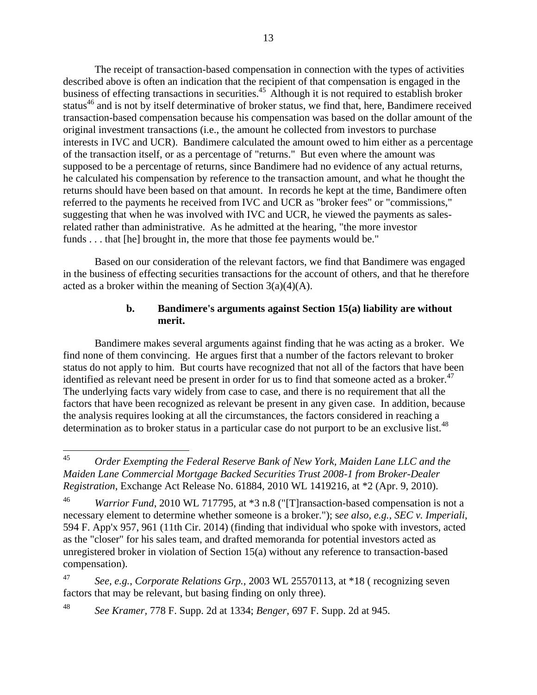The receipt of transaction-based compensation in connection with the types of activities described above is often an indication that the recipient of that compensation is engaged in the business of effecting transactions in securities.<sup>45</sup> Although it is not required to establish broker status<sup>46</sup> and is not by itself determinative of broker status, we find that, here, Bandimere received transaction-based compensation because his compensation was based on the dollar amount of the original investment transactions (i.e., the amount he collected from investors to purchase interests in IVC and UCR). Bandimere calculated the amount owed to him either as a percentage of the transaction itself, or as a percentage of "returns." But even where the amount was supposed to be a percentage of returns, since Bandimere had no evidence of any actual returns, he calculated his compensation by reference to the transaction amount, and what he thought the returns should have been based on that amount. In records he kept at the time, Bandimere often referred to the payments he received from IVC and UCR as "broker fees" or "commissions," suggesting that when he was involved with IVC and UCR, he viewed the payments as salesrelated rather than administrative. As he admitted at the hearing, "the more investor funds . . . that [he] brought in, the more that those fee payments would be."

Based on our consideration of the relevant factors, we find that Bandimere was engaged in the business of effecting securities transactions for the account of others, and that he therefore acted as a broker within the meaning of Section  $3(a)(4)(A)$ .

#### **b. Bandimere's arguments against Section 15(a) liability are without merit.**

Bandimere makes several arguments against finding that he was acting as a broker. We find none of them convincing. He argues first that a number of the factors relevant to broker status do not apply to him. But courts have recognized that not all of the factors that have been identified as relevant need be present in order for us to find that someone acted as a broker.<sup>47</sup> The underlying facts vary widely from case to case, and there is no requirement that all the factors that have been recognized as relevant be present in any given case. In addition, because the analysis requires looking at all the circumstances, the factors considered in reaching a determination as to broker status in a particular case do not purport to be an exclusive list.<sup>48</sup>

<sup>47</sup> *See, e.g.*, *Corporate Relations Grp.*, 2003 WL 25570113, at \*18 ( recognizing seven factors that may be relevant, but basing finding on only three).

<sup>48</sup> *See Kramer,* 778 F. Supp. 2d at 1334; *Benger*, 697 F. Supp. 2d at 945.

 $45$ <sup>45</sup> *Order Exempting the Federal Reserve Bank of New York, Maiden Lane LLC and the Maiden Lane Commercial Mortgage Backed Securities Trust 2008-1 from Broker-Dealer Registration*, Exchange Act Release No. 61884, 2010 WL 1419216, at \*2 (Apr. 9, 2010).

<sup>46</sup> *Warrior Fund*, 2010 WL 717795, at \*3 n.8 ("[T]ransaction-based compensation is not a necessary element to determine whether someone is a broker."); s*ee also, e.g.*, *SEC v. Imperiali*, 594 F. App'x 957, 961 (11th Cir. 2014) (finding that individual who spoke with investors, acted as the "closer" for his sales team, and drafted memoranda for potential investors acted as unregistered broker in violation of Section 15(a) without any reference to transaction-based compensation).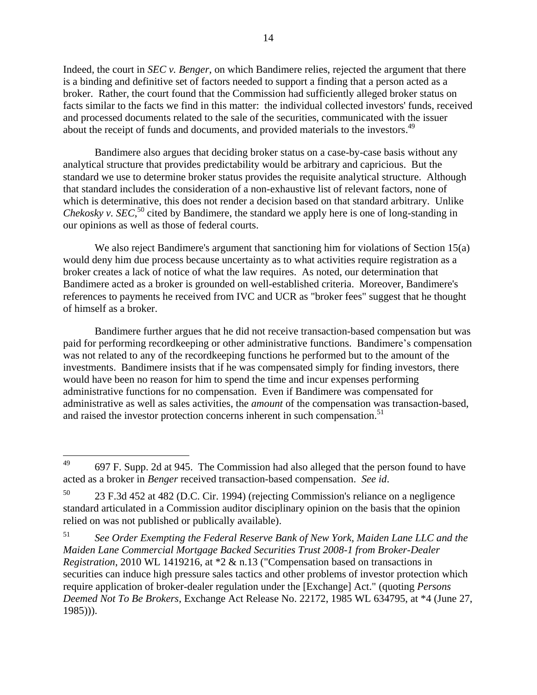Indeed, the court in *SEC v. Benger*, on which Bandimere relies, rejected the argument that there is a binding and definitive set of factors needed to support a finding that a person acted as a broker. Rather, the court found that the Commission had sufficiently alleged broker status on facts similar to the facts we find in this matter: the individual collected investors' funds, received and processed documents related to the sale of the securities, communicated with the issuer about the receipt of funds and documents, and provided materials to the investors.<sup>49</sup>

Bandimere also argues that deciding broker status on a case-by-case basis without any analytical structure that provides predictability would be arbitrary and capricious. But the standard we use to determine broker status provides the requisite analytical structure. Although that standard includes the consideration of a non-exhaustive list of relevant factors, none of which is determinative, this does not render a decision based on that standard arbitrary. Unlike *Chekosky v. SEC*,<sup>50</sup> cited by Bandimere, the standard we apply here is one of long-standing in our opinions as well as those of federal courts.

We also reject Bandimere's argument that sanctioning him for violations of Section 15(a) would deny him due process because uncertainty as to what activities require registration as a broker creates a lack of notice of what the law requires. As noted, our determination that Bandimere acted as a broker is grounded on well-established criteria. Moreover, Bandimere's references to payments he received from IVC and UCR as "broker fees" suggest that he thought of himself as a broker.

Bandimere further argues that he did not receive transaction-based compensation but was paid for performing recordkeeping or other administrative functions. Bandimere's compensation was not related to any of the recordkeeping functions he performed but to the amount of the investments. Bandimere insists that if he was compensated simply for finding investors, there would have been no reason for him to spend the time and incur expenses performing administrative functions for no compensation. Even if Bandimere was compensated for administrative as well as sales activities, the *amount* of the compensation was transaction-based, and raised the investor protection concerns inherent in such compensation.<sup>51</sup>

<sup>49</sup> <sup>49</sup> 697 F. Supp. 2d at 945. The Commission had also alleged that the person found to have acted as a broker in *Benger* received transaction-based compensation. *See id*.

<sup>50</sup> 23 F.3d 452 at 482 (D.C. Cir. 1994) (rejecting Commission's reliance on a negligence standard articulated in a Commission auditor disciplinary opinion on the basis that the opinion relied on was not published or publically available).

<sup>51</sup> *See Order Exempting the Federal Reserve Bank of New York, Maiden Lane LLC and the Maiden Lane Commercial Mortgage Backed Securities Trust 2008-1 from Broker-Dealer Registration*, 2010 WL 1419216, at \*2 & n.13 ("Compensation based on transactions in securities can induce high pressure sales tactics and other problems of investor protection which require application of broker-dealer regulation under the [Exchange] Act." (quoting *Persons Deemed Not To Be Brokers*, Exchange Act Release No. 22172, 1985 WL 634795, at \*4 (June 27, 1985))).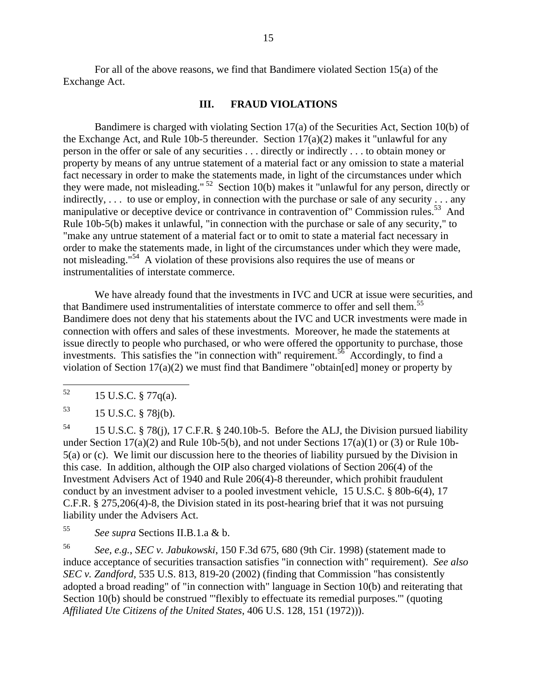For all of the above reasons, we find that Bandimere violated Section 15(a) of the Exchange Act.

#### **III. FRAUD VIOLATIONS**

Bandimere is charged with violating Section 17(a) of the Securities Act, Section 10(b) of the Exchange Act, and Rule 10b-5 thereunder. Section  $17(a)(2)$  makes it "unlawful for any person in the offer or sale of any securities . . . directly or indirectly . . . to obtain money or property by means of any untrue statement of a material fact or any omission to state a material fact necessary in order to make the statements made, in light of the circumstances under which they were made, not misleading."<sup>52</sup> Section 10(b) makes it "unlawful for any person, directly or indirectly, ... to use or employ, in connection with the purchase or sale of any security ... any manipulative or deceptive device or contrivance in contravention of" Commission rules.<sup>53</sup> And Rule 10b-5(b) makes it unlawful, "in connection with the purchase or sale of any security," to "make any untrue statement of a material fact or to omit to state a material fact necessary in order to make the statements made, in light of the circumstances under which they were made, not misleading."<sup>54</sup> A violation of these provisions also requires the use of means or instrumentalities of interstate commerce.

We have already found that the investments in IVC and UCR at issue were securities, and that Bandimere used instrumentalities of interstate commerce to offer and sell them.<sup>55</sup> Bandimere does not deny that his statements about the IVC and UCR investments were made in connection with offers and sales of these investments. Moreover, he made the statements at issue directly to people who purchased, or who were offered the opportunity to purchase, those investments. This satisfies the "in connection with" requirement.<sup>56</sup> Accordingly, to find a violation of Section 17(a)(2) we must find that Bandimere "obtain[ed] money or property by

<sup>54</sup> 15 U.S.C. § 78(j), 17 C.F.R. § 240.10b-5. Before the ALJ, the Division pursued liability under Section  $17(a)(2)$  and Rule 10b-5(b), and not under Sections  $17(a)(1)$  or (3) or Rule 10b-5(a) or (c). We limit our discussion here to the theories of liability pursued by the Division in this case. In addition, although the OIP also charged violations of Section 206(4) of the Investment Advisers Act of 1940 and Rule 206(4)-8 thereunder, which prohibit fraudulent conduct by an investment adviser to a pooled investment vehicle, 15 U.S.C. § 80b-6(4), 17 C.F.R. § 275,206(4)-8, the Division stated in its post-hearing brief that it was not pursuing liability under the Advisers Act.

<sup>55</sup> *See supra* Sections II.B.1.a & b.

<sup>56</sup> *See, e.g.*, *SEC v. Jabukowski*, 150 F.3d 675, 680 (9th Cir. 1998) (statement made to induce acceptance of securities transaction satisfies "in connection with" requirement). *See also SEC v. Zandford*, 535 U.S. 813, 819-20 (2002) (finding that Commission "has consistently adopted a broad reading" of "in connection with" language in Section 10(b) and reiterating that Section 10(b) should be construed "'flexibly to effectuate its remedial purposes.'" (quoting *Affiliated Ute Citizens of the United States*, 406 U.S. 128, 151 (1972))).

<sup>52</sup> <sup>52</sup> 15 U.S.C. § 77q(a).

 $^{53}$  15 U.S.C. § 78j(b).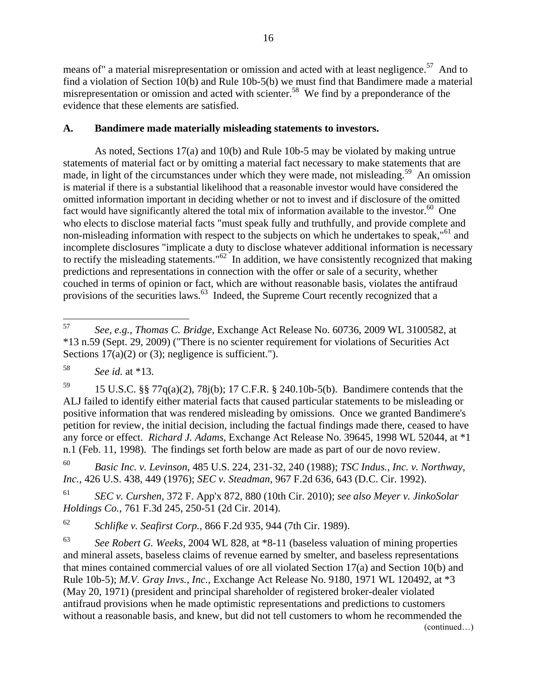means of" a material misrepresentation or omission and acted with at least negligence.<sup>57</sup> And to find a violation of Section 10(b) and Rule 10b-5(b) we must find that Bandimere made a material misrepresentation or omission and acted with scienter.<sup>58</sup> We find by a preponderance of the evidence that these elements are satisfied.

## **A. Bandimere made materially misleading statements to investors.**

As noted, Sections 17(a) and 10(b) and Rule 10b-5 may be violated by making untrue statements of material fact or by omitting a material fact necessary to make statements that are made, in light of the circumstances under which they were made, not misleading.<sup>59</sup> An omission is material if there is a substantial likelihood that a reasonable investor would have considered the omitted information important in deciding whether or not to invest and if disclosure of the omitted fact would have significantly altered the total mix of information available to the investor.<sup>60</sup> One who elects to disclose material facts "must speak fully and truthfully, and provide complete and non-misleading information with respect to the subjects on which he undertakes to speak,"<sup>61</sup> and incomplete disclosures "implicate a duty to disclose whatever additional information is necessary to rectify the misleading statements." $62$  In addition, we have consistently recognized that making predictions and representations in connection with the offer or sale of a security, whether couched in terms of opinion or fact, which are without reasonable basis, violates the antifraud provisions of the securities laws.<sup>63</sup> Indeed, the Supreme Court recently recognized that a

<sup>60</sup> *Basic Inc. v. Levinson*, 485 U.S. 224, 231-32, 240 (1988); *TSC Indus., Inc. v. Northway, Inc.*, 426 U.S. 438, 449 (1976); *SEC v. Steadman*, 967 F.2d 636, 643 (D.C. Cir. 1992).

<sup>61</sup> *SEC v. Curshen*, 372 F. App'x 872, 880 (10th Cir. 2010); *see also Meyer v. JinkoSolar Holdings Co.*, 761 F.3d 245, 250-51 (2d Cir. 2014).

<sup>62</sup> *Schlifke v. Seafirst Corp.*, 866 F.2d 935, 944 (7th Cir. 1989).

<sup>63</sup> *See Robert G. Weeks*, 2004 WL 828, at \*8-11 (baseless valuation of mining properties and mineral assets, baseless claims of revenue earned by smelter, and baseless representations that mines contained commercial values of ore all violated Section 17(a) and Section 10(b) and Rule 10b-5); *M.V. Gray Invs., Inc.*, Exchange Act Release No. 9180, 1971 WL 120492, at \*3 (May 20, 1971) (president and principal shareholder of registered broker-dealer violated antifraud provisions when he made optimistic representations and predictions to customers without a reasonable basis, and knew, but did not tell customers to whom he recommended the (continued…)

<sup>57</sup> <sup>57</sup> *See, e.g.*, *Thomas C. Bridge*, Exchange Act Release No. 60736, 2009 WL 3100582, at \*13 n.59 (Sept. 29, 2009) ("There is no scienter requirement for violations of Securities Act Sections  $17(a)(2)$  or (3); negligence is sufficient.").

<sup>58</sup> *See id.* at \*13.

<sup>&</sup>lt;sup>59</sup> 15 U.S.C. §§ 77 $q(a)(2)$ , 78 $j(b)$ ; 17 C.F.R. § 240.10b-5(b). Bandimere contends that the ALJ failed to identify either material facts that caused particular statements to be misleading or positive information that was rendered misleading by omissions. Once we granted Bandimere's petition for review, the initial decision, including the factual findings made there, ceased to have any force or effect. *Richard J. Adams*, Exchange Act Release No. 39645, 1998 WL 52044, at \*1 n.1 (Feb. 11, 1998). The findings set forth below are made as part of our de novo review.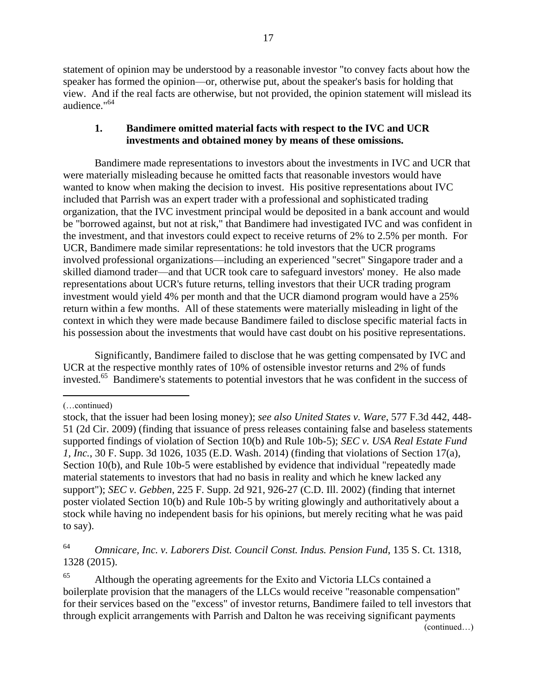statement of opinion may be understood by a reasonable investor "to convey facts about how the speaker has formed the opinion—or, otherwise put, about the speaker's basis for holding that view. And if the real facts are otherwise, but not provided, the opinion statement will mislead its audience." 64

#### **1. Bandimere omitted material facts with respect to the IVC and UCR investments and obtained money by means of these omissions.**

Bandimere made representations to investors about the investments in IVC and UCR that were materially misleading because he omitted facts that reasonable investors would have wanted to know when making the decision to invest. His positive representations about IVC included that Parrish was an expert trader with a professional and sophisticated trading organization, that the IVC investment principal would be deposited in a bank account and would be "borrowed against, but not at risk," that Bandimere had investigated IVC and was confident in the investment, and that investors could expect to receive returns of 2% to 2.5% per month. For UCR, Bandimere made similar representations: he told investors that the UCR programs involved professional organizations—including an experienced "secret" Singapore trader and a skilled diamond trader—and that UCR took care to safeguard investors' money. He also made representations about UCR's future returns, telling investors that their UCR trading program investment would yield 4% per month and that the UCR diamond program would have a 25% return within a few months. All of these statements were materially misleading in light of the context in which they were made because Bandimere failed to disclose specific material facts in his possession about the investments that would have cast doubt on his positive representations.

Significantly, Bandimere failed to disclose that he was getting compensated by IVC and UCR at the respective monthly rates of 10% of ostensible investor returns and 2% of funds invested. <sup>65</sup> Bandimere's statements to potential investors that he was confident in the success of

(…continued)

 $\overline{a}$ 

<sup>64</sup> *Omnicare, Inc. v. Laborers Dist. Council Const. Indus. Pension Fund*, 135 S. Ct. 1318, 1328 (2015).

<sup>65</sup> Although the operating agreements for the Exito and Victoria LLCs contained a boilerplate provision that the managers of the LLCs would receive "reasonable compensation" for their services based on the "excess" of investor returns, Bandimere failed to tell investors that through explicit arrangements with Parrish and Dalton he was receiving significant payments

stock, that the issuer had been losing money); *see also United States v. Ware*, 577 F.3d 442, 448- 51 (2d Cir. 2009) (finding that issuance of press releases containing false and baseless statements supported findings of violation of Section 10(b) and Rule 10b-5); *SEC v. USA Real Estate Fund 1, Inc.*, 30 F. Supp. 3d 1026, 1035 (E.D. Wash. 2014) (finding that violations of Section 17(a), Section 10(b), and Rule 10b-5 were established by evidence that individual "repeatedly made material statements to investors that had no basis in reality and which he knew lacked any support"); *SEC v. Gebben*, 225 F. Supp. 2d 921, 926-27 (C.D. Ill. 2002) (finding that internet poster violated Section 10(b) and Rule 10b-5 by writing glowingly and authoritatively about a stock while having no independent basis for his opinions, but merely reciting what he was paid to say).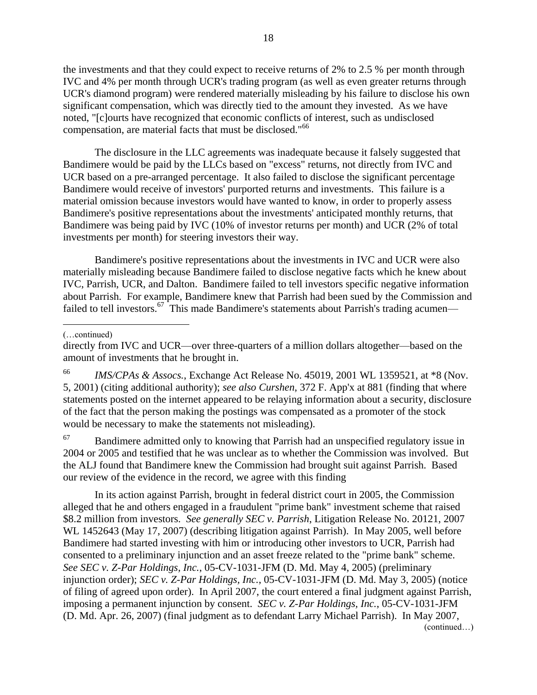the investments and that they could expect to receive returns of 2% to 2.5 % per month through IVC and 4% per month through UCR's trading program (as well as even greater returns through UCR's diamond program) were rendered materially misleading by his failure to disclose his own significant compensation, which was directly tied to the amount they invested. As we have noted, "[c]ourts have recognized that economic conflicts of interest, such as undisclosed compensation, are material facts that must be disclosed."<sup>66</sup>

The disclosure in the LLC agreements was inadequate because it falsely suggested that Bandimere would be paid by the LLCs based on "excess" returns, not directly from IVC and UCR based on a pre-arranged percentage. It also failed to disclose the significant percentage Bandimere would receive of investors' purported returns and investments. This failure is a material omission because investors would have wanted to know, in order to properly assess Bandimere's positive representations about the investments' anticipated monthly returns, that Bandimere was being paid by IVC (10% of investor returns per month) and UCR (2% of total investments per month) for steering investors their way.

Bandimere's positive representations about the investments in IVC and UCR were also materially misleading because Bandimere failed to disclose negative facts which he knew about IVC, Parrish, UCR, and Dalton. Bandimere failed to tell investors specific negative information about Parrish. For example, Bandimere knew that Parrish had been sued by the Commission and failed to tell investors.<sup>67</sup> This made Bandimere's statements about Parrish's trading acumen—

 $\overline{a}$ 

<sup>66</sup> *IMS/CPAs & Assocs.*, Exchange Act Release No. 45019, 2001 WL 1359521, at \*8 (Nov. 5, 2001) (citing additional authority); *see also Curshen*, 372 F. App'x at 881 (finding that where statements posted on the internet appeared to be relaying information about a security, disclosure of the fact that the person making the postings was compensated as a promoter of the stock would be necessary to make the statements not misleading).

 $67$  Bandimere admitted only to knowing that Parrish had an unspecified regulatory issue in 2004 or 2005 and testified that he was unclear as to whether the Commission was involved. But the ALJ found that Bandimere knew the Commission had brought suit against Parrish. Based our review of the evidence in the record, we agree with this finding

In its action against Parrish, brought in federal district court in 2005, the Commission alleged that he and others engaged in a fraudulent "prime bank" investment scheme that raised \$8.2 million from investors. *See generally SEC v. Parrish*, Litigation Release No. 20121, 2007 WL 1452643 (May 17, 2007) (describing litigation against Parrish). In May 2005, well before Bandimere had started investing with him or introducing other investors to UCR, Parrish had consented to a preliminary injunction and an asset freeze related to the "prime bank" scheme. *See SEC v. Z-Par Holdings, Inc.*, 05-CV-1031-JFM (D. Md. May 4, 2005) (preliminary injunction order); *SEC v. Z-Par Holdings, Inc.*, 05-CV-1031-JFM (D. Md. May 3, 2005) (notice of filing of agreed upon order). In April 2007, the court entered a final judgment against Parrish, imposing a permanent injunction by consent. *SEC v. Z-Par Holdings, Inc.*, 05-CV-1031-JFM (D. Md. Apr. 26, 2007) (final judgment as to defendant Larry Michael Parrish). In May 2007, (continued…)

<sup>(…</sup>continued)

directly from IVC and UCR—over three-quarters of a million dollars altogether—based on the amount of investments that he brought in.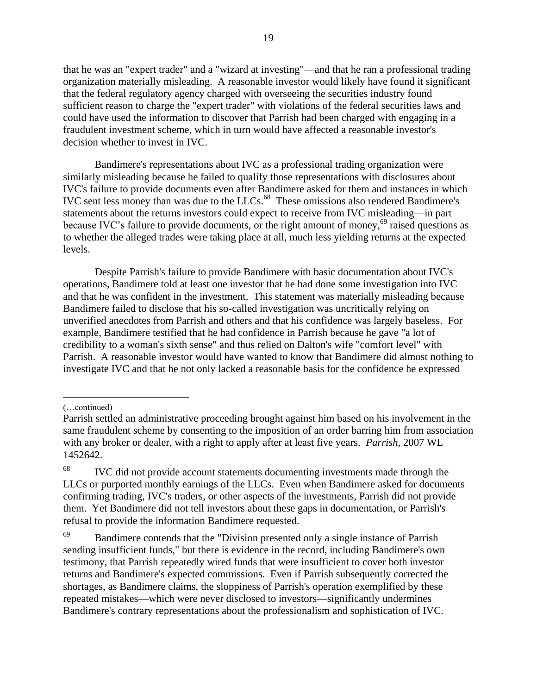that he was an "expert trader" and a "wizard at investing"—and that he ran a professional trading organization materially misleading. A reasonable investor would likely have found it significant that the federal regulatory agency charged with overseeing the securities industry found sufficient reason to charge the "expert trader" with violations of the federal securities laws and could have used the information to discover that Parrish had been charged with engaging in a fraudulent investment scheme, which in turn would have affected a reasonable investor's decision whether to invest in IVC.

Bandimere's representations about IVC as a professional trading organization were similarly misleading because he failed to qualify those representations with disclosures about IVC's failure to provide documents even after Bandimere asked for them and instances in which IVC sent less money than was due to the LLCs.<sup>68</sup> These omissions also rendered Bandimere's statements about the returns investors could expect to receive from IVC misleading—in part because IVC's failure to provide documents, or the right amount of money,<sup>69</sup> raised questions as to whether the alleged trades were taking place at all, much less yielding returns at the expected levels.

Despite Parrish's failure to provide Bandimere with basic documentation about IVC's operations, Bandimere told at least one investor that he had done some investigation into IVC and that he was confident in the investment. This statement was materially misleading because Bandimere failed to disclose that his so-called investigation was uncritically relying on unverified anecdotes from Parrish and others and that his confidence was largely baseless. For example, Bandimere testified that he had confidence in Parrish because he gave "a lot of credibility to a woman's sixth sense" and thus relied on Dalton's wife "comfort level" with Parrish. A reasonable investor would have wanted to know that Bandimere did almost nothing to investigate IVC and that he not only lacked a reasonable basis for the confidence he expressed

 $\overline{a}$ 

<sup>(…</sup>continued)

Parrish settled an administrative proceeding brought against him based on his involvement in the same fraudulent scheme by consenting to the imposition of an order barring him from association with any broker or dealer, with a right to apply after at least five years. *Parrish*, 2007 WL 1452642.

<sup>&</sup>lt;sup>68</sup> IVC did not provide account statements documenting investments made through the LLCs or purported monthly earnings of the LLCs. Even when Bandimere asked for documents confirming trading, IVC's traders, or other aspects of the investments, Parrish did not provide them. Yet Bandimere did not tell investors about these gaps in documentation, or Parrish's refusal to provide the information Bandimere requested.

<sup>&</sup>lt;sup>69</sup> Bandimere contends that the "Division presented only a single instance of Parrish sending insufficient funds," but there is evidence in the record, including Bandimere's own testimony, that Parrish repeatedly wired funds that were insufficient to cover both investor returns and Bandimere's expected commissions. Even if Parrish subsequently corrected the shortages, as Bandimere claims, the sloppiness of Parrish's operation exemplified by these repeated mistakes—which were never disclosed to investors—significantly undermines Bandimere's contrary representations about the professionalism and sophistication of IVC.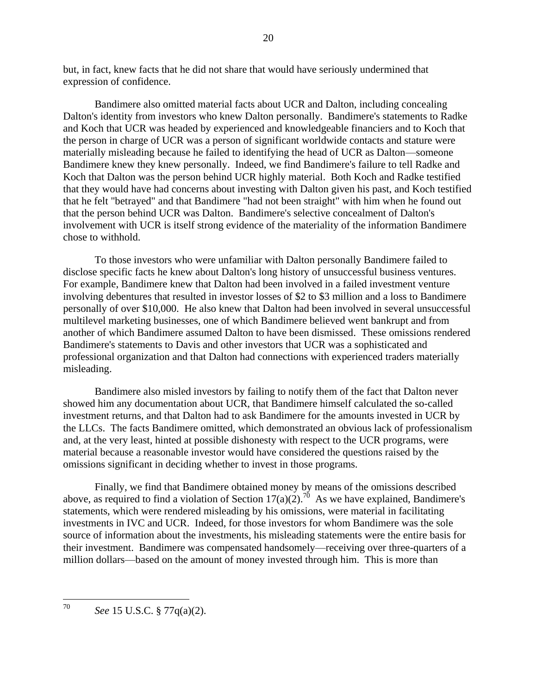but, in fact, knew facts that he did not share that would have seriously undermined that expression of confidence.

Bandimere also omitted material facts about UCR and Dalton, including concealing Dalton's identity from investors who knew Dalton personally. Bandimere's statements to Radke and Koch that UCR was headed by experienced and knowledgeable financiers and to Koch that the person in charge of UCR was a person of significant worldwide contacts and stature were materially misleading because he failed to identifying the head of UCR as Dalton—someone Bandimere knew they knew personally. Indeed, we find Bandimere's failure to tell Radke and Koch that Dalton was the person behind UCR highly material. Both Koch and Radke testified that they would have had concerns about investing with Dalton given his past, and Koch testified that he felt "betrayed" and that Bandimere "had not been straight" with him when he found out that the person behind UCR was Dalton. Bandimere's selective concealment of Dalton's involvement with UCR is itself strong evidence of the materiality of the information Bandimere chose to withhold.

To those investors who were unfamiliar with Dalton personally Bandimere failed to disclose specific facts he knew about Dalton's long history of unsuccessful business ventures. For example, Bandimere knew that Dalton had been involved in a failed investment venture involving debentures that resulted in investor losses of \$2 to \$3 million and a loss to Bandimere personally of over \$10,000. He also knew that Dalton had been involved in several unsuccessful multilevel marketing businesses, one of which Bandimere believed went bankrupt and from another of which Bandimere assumed Dalton to have been dismissed. These omissions rendered Bandimere's statements to Davis and other investors that UCR was a sophisticated and professional organization and that Dalton had connections with experienced traders materially misleading.

Bandimere also misled investors by failing to notify them of the fact that Dalton never showed him any documentation about UCR, that Bandimere himself calculated the so-called investment returns, and that Dalton had to ask Bandimere for the amounts invested in UCR by the LLCs. The facts Bandimere omitted, which demonstrated an obvious lack of professionalism and, at the very least, hinted at possible dishonesty with respect to the UCR programs, were material because a reasonable investor would have considered the questions raised by the omissions significant in deciding whether to invest in those programs.

Finally, we find that Bandimere obtained money by means of the omissions described above, as required to find a violation of Section 17(a)(2).<sup>70</sup> As we have explained, Bandimere's statements, which were rendered misleading by his omissions, were material in facilitating investments in IVC and UCR. Indeed, for those investors for whom Bandimere was the sole source of information about the investments, his misleading statements were the entire basis for their investment. Bandimere was compensated handsomely—receiving over three-quarters of a million dollars—based on the amount of money invested through him. This is more than

<sup>70</sup> <sup>70</sup> *See* 15 U.S.C. § 77q(a)(2).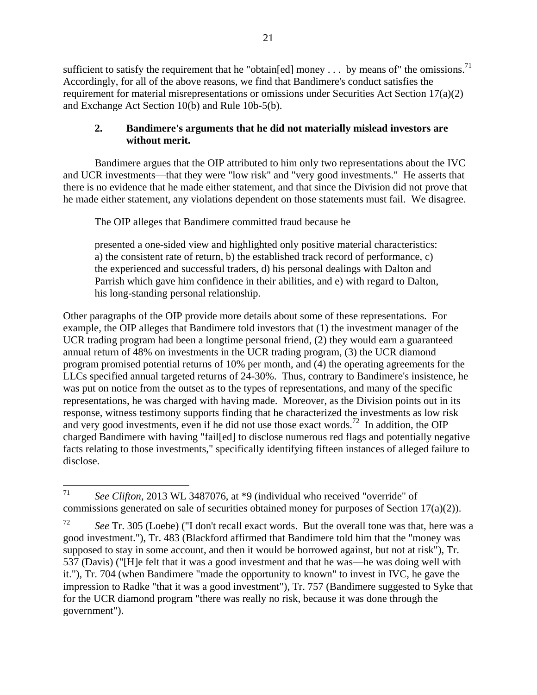sufficient to satisfy the requirement that he "obtain [ed] money . . . by means of" the omissions.<sup>71</sup> Accordingly, for all of the above reasons, we find that Bandimere's conduct satisfies the requirement for material misrepresentations or omissions under Securities Act Section 17(a)(2) and Exchange Act Section 10(b) and Rule 10b-5(b).

## **2. Bandimere's arguments that he did not materially mislead investors are without merit.**

Bandimere argues that the OIP attributed to him only two representations about the IVC and UCR investments—that they were "low risk" and "very good investments." He asserts that there is no evidence that he made either statement, and that since the Division did not prove that he made either statement, any violations dependent on those statements must fail. We disagree.

The OIP alleges that Bandimere committed fraud because he

presented a one-sided view and highlighted only positive material characteristics: a) the consistent rate of return, b) the established track record of performance, c) the experienced and successful traders, d) his personal dealings with Dalton and Parrish which gave him confidence in their abilities, and e) with regard to Dalton, his long-standing personal relationship.

Other paragraphs of the OIP provide more details about some of these representations. For example, the OIP alleges that Bandimere told investors that (1) the investment manager of the UCR trading program had been a longtime personal friend, (2) they would earn a guaranteed annual return of 48% on investments in the UCR trading program, (3) the UCR diamond program promised potential returns of 10% per month, and (4) the operating agreements for the LLCs specified annual targeted returns of 24-30%. Thus, contrary to Bandimere's insistence, he was put on notice from the outset as to the types of representations, and many of the specific representations, he was charged with having made. Moreover, as the Division points out in its response, witness testimony supports finding that he characterized the investments as low risk and very good investments, even if he did not use those exact words.<sup>72</sup> In addition, the OIP charged Bandimere with having "fail[ed] to disclose numerous red flags and potentially negative facts relating to those investments," specifically identifying fifteen instances of alleged failure to disclose.

<sup>71</sup> See Clifton, 2013 WL 3487076, at \*9 (individual who received "override" of commissions generated on sale of securities obtained money for purposes of Section 17(a)(2)).

<sup>72</sup> *See* Tr. 305 (Loebe) ("I don't recall exact words. But the overall tone was that, here was a good investment."), Tr. 483 (Blackford affirmed that Bandimere told him that the "money was supposed to stay in some account, and then it would be borrowed against, but not at risk"), Tr. 537 (Davis) ("[H]e felt that it was a good investment and that he was—he was doing well with it."), Tr. 704 (when Bandimere "made the opportunity to known" to invest in IVC, he gave the impression to Radke "that it was a good investment"), Tr. 757 (Bandimere suggested to Syke that for the UCR diamond program "there was really no risk, because it was done through the government").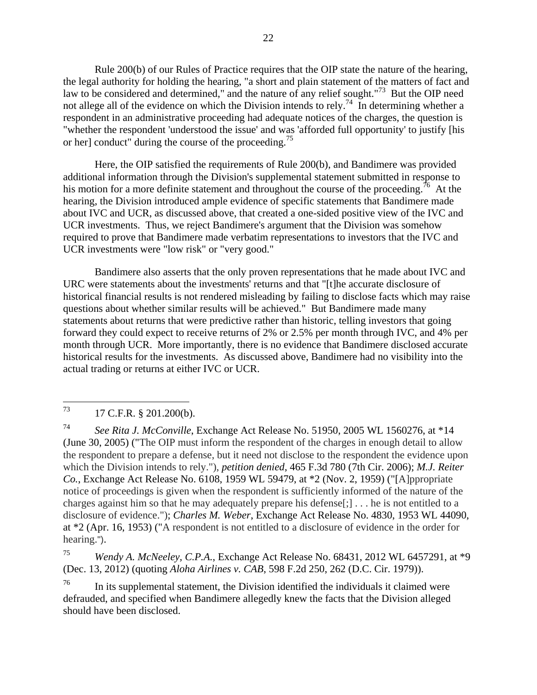Rule 200(b) of our Rules of Practice requires that the OIP state the nature of the hearing, the legal authority for holding the hearing, "a short and plain statement of the matters of fact and law to be considered and determined," and the nature of any relief sought."<sup>73</sup> But the OIP need not allege all of the evidence on which the Division intends to rely.<sup>74</sup> In determining whether a respondent in an administrative proceeding had adequate notices of the charges, the question is "whether the respondent 'understood the issue' and was 'afforded full opportunity' to justify [his or her] conduct" during the course of the proceeding.<sup>75</sup>

Here, the OIP satisfied the requirements of Rule 200(b), and Bandimere was provided additional information through the Division's supplemental statement submitted in response to his motion for a more definite statement and throughout the course of the proceeding.<sup>76</sup> At the hearing, the Division introduced ample evidence of specific statements that Bandimere made about IVC and UCR, as discussed above, that created a one-sided positive view of the IVC and UCR investments. Thus, we reject Bandimere's argument that the Division was somehow required to prove that Bandimere made verbatim representations to investors that the IVC and UCR investments were "low risk" or "very good."

Bandimere also asserts that the only proven representations that he made about IVC and URC were statements about the investments' returns and that "[t]he accurate disclosure of historical financial results is not rendered misleading by failing to disclose facts which may raise questions about whether similar results will be achieved." But Bandimere made many statements about returns that were predictive rather than historic, telling investors that going forward they could expect to receive returns of 2% or 2.5% per month through IVC, and 4% per month through UCR. More importantly, there is no evidence that Bandimere disclosed accurate historical results for the investments. As discussed above, Bandimere had no visibility into the actual trading or returns at either IVC or UCR.

<sup>75</sup> *Wendy A. McNeeley, C.P.A.*, Exchange Act Release No. 68431, 2012 WL 6457291, at \*9 (Dec. 13, 2012) (quoting *Aloha Airlines v. CAB*, 598 F.2d 250, 262 (D.C. Cir. 1979)).

<sup>76</sup> In its supplemental statement, the Division identified the individuals it claimed were defrauded, and specified when Bandimere allegedly knew the facts that the Division alleged should have been disclosed.

<sup>73</sup> 17 C.F.R. § 201.200(b).

<sup>74</sup> *See Rita J. McConville*, Exchange Act Release No. 51950, 2005 WL 1560276, at \*14 (June 30, 2005) ("The OIP must inform the respondent of the charges in enough detail to allow the respondent to prepare a defense, but it need not disclose to the respondent the evidence upon which the Division intends to rely."), *petition denied*, 465 F.3d 780 (7th Cir. 2006); *M.J. Reiter Co.*, Exchange Act Release No. 6108, 1959 WL 59479, at \*2 (Nov. 2, 1959) ("[A]ppropriate notice of proceedings is given when the respondent is sufficiently informed of the nature of the charges against him so that he may adequately prepare his defense[;] . . . he is not entitled to a disclosure of evidence."); *Charles M. Weber*, Exchange Act Release No. 4830, 1953 WL 44090, at \*2 (Apr. 16, 1953) ("A respondent is not entitled to a disclosure of evidence in the order for hearing.").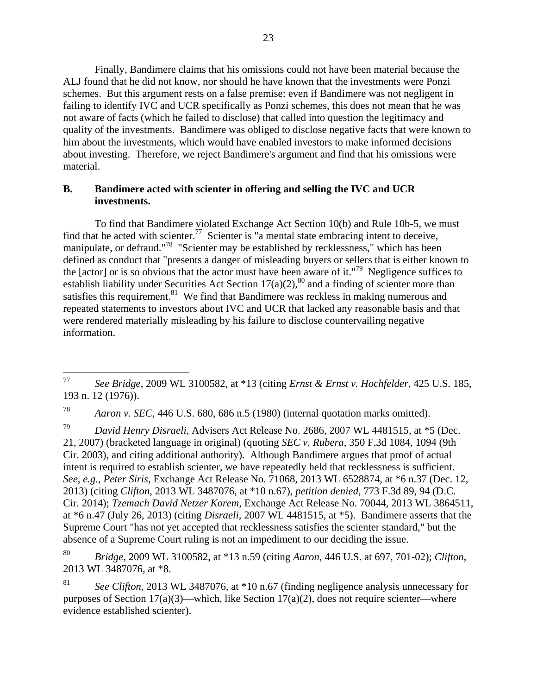Finally, Bandimere claims that his omissions could not have been material because the ALJ found that he did not know, nor should he have known that the investments were Ponzi schemes. But this argument rests on a false premise: even if Bandimere was not negligent in failing to identify IVC and UCR specifically as Ponzi schemes, this does not mean that he was not aware of facts (which he failed to disclose) that called into question the legitimacy and quality of the investments. Bandimere was obliged to disclose negative facts that were known to him about the investments, which would have enabled investors to make informed decisions about investing. Therefore, we reject Bandimere's argument and find that his omissions were material.

## **B. Bandimere acted with scienter in offering and selling the IVC and UCR investments.**

To find that Bandimere violated Exchange Act Section 10(b) and Rule 10b-5, we must find that he acted with scienter.<sup>77</sup> Scienter is "a mental state embracing intent to deceive, manipulate, or defraud."<sup>78</sup> "Scienter may be established by recklessness," which has been defined as conduct that "presents a danger of misleading buyers or sellers that is either known to the [actor] or is so obvious that the actor must have been aware of it."<sup>79</sup> Negligence suffices to establish liability under Securities Act Section  $17(a)(2)$ ,<sup>80</sup> and a finding of scienter more than satisfies this requirement. $81$  We find that Bandimere was reckless in making numerous and repeated statements to investors about IVC and UCR that lacked any reasonable basis and that were rendered materially misleading by his failure to disclose countervailing negative information.

<sup>79</sup> *David Henry Disraeli*, Advisers Act Release No. 2686, 2007 WL 4481515, at \*5 (Dec. 21, 2007) (bracketed language in original) (quoting *SEC v. Rubera*, 350 F.3d 1084, 1094 (9th Cir. 2003), and citing additional authority). Although Bandimere argues that proof of actual intent is required to establish scienter, we have repeatedly held that recklessness is sufficient. *See, e.g.*, *Peter Siris*, Exchange Act Release No. 71068, 2013 WL 6528874, at \*6 n.37 (Dec. 12, 2013) (citing *Clifton*, 2013 WL 3487076, at \*10 n.67), *petition denied*, 773 F.3d 89, 94 (D.C. Cir. 2014); *Tzemach David Netzer Korem*, Exchange Act Release No. 70044, 2013 WL 3864511, at \*6 n.47 (July 26, 2013) (citing *Disraeli*, 2007 WL 4481515, at \*5). Bandimere asserts that the Supreme Court "has not yet accepted that recklessness satisfies the scienter standard," but the absence of a Supreme Court ruling is not an impediment to our deciding the issue.

<sup>80</sup> *Bridge*, 2009 WL 3100582, at \*13 n.59 (citing *Aaron*, 446 U.S. at 697, 701-02); *Clifton*, 2013 WL 3487076, at \*8.

<sup>81</sup> *See Clifton*, 2013 WL 3487076, at \*10 n.67 (finding negligence analysis unnecessary for purposes of Section  $17(a)(3)$ —which, like Section  $17(a)(2)$ , does not require scienter—where evidence established scienter).

<sup>77</sup> <sup>77</sup> *See Bridge*, 2009 WL 3100582, at \*13 (citing *Ernst & Ernst v. Hochfelder*, 425 U.S. 185, 193 n. 12 (1976)).

<sup>78</sup> *Aaron v. SEC*, 446 U.S. 680, 686 n.5 (1980) (internal quotation marks omitted).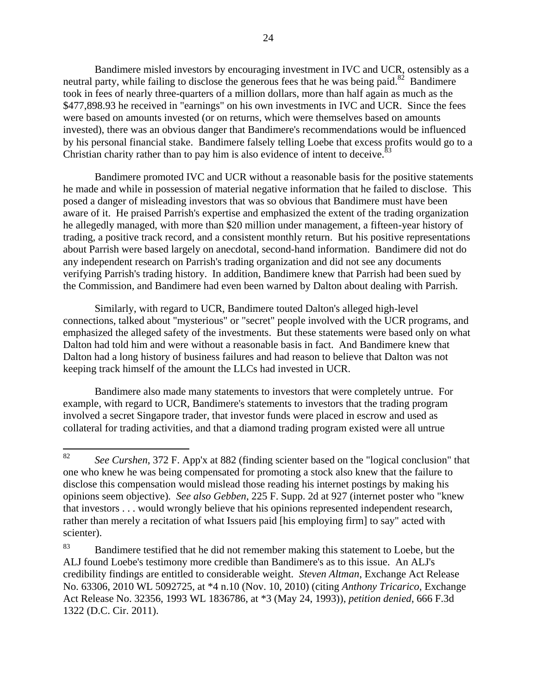Bandimere misled investors by encouraging investment in IVC and UCR, ostensibly as a neutral party, while failing to disclose the generous fees that he was being paid.<sup>82</sup> Bandimere took in fees of nearly three-quarters of a million dollars, more than half again as much as the \$477,898.93 he received in "earnings" on his own investments in IVC and UCR. Since the fees were based on amounts invested (or on returns, which were themselves based on amounts invested), there was an obvious danger that Bandimere's recommendations would be influenced by his personal financial stake. Bandimere falsely telling Loebe that excess profits would go to a Christian charity rather than to pay him is also evidence of intent to deceive.<sup>83</sup>

Bandimere promoted IVC and UCR without a reasonable basis for the positive statements he made and while in possession of material negative information that he failed to disclose. This posed a danger of misleading investors that was so obvious that Bandimere must have been aware of it. He praised Parrish's expertise and emphasized the extent of the trading organization he allegedly managed, with more than \$20 million under management, a fifteen-year history of trading, a positive track record, and a consistent monthly return. But his positive representations about Parrish were based largely on anecdotal, second-hand information. Bandimere did not do any independent research on Parrish's trading organization and did not see any documents verifying Parrish's trading history. In addition, Bandimere knew that Parrish had been sued by the Commission, and Bandimere had even been warned by Dalton about dealing with Parrish.

Similarly, with regard to UCR, Bandimere touted Dalton's alleged high-level connections, talked about "mysterious" or "secret" people involved with the UCR programs, and emphasized the alleged safety of the investments. But these statements were based only on what Dalton had told him and were without a reasonable basis in fact. And Bandimere knew that Dalton had a long history of business failures and had reason to believe that Dalton was not keeping track himself of the amount the LLCs had invested in UCR.

Bandimere also made many statements to investors that were completely untrue. For example, with regard to UCR, Bandimere's statements to investors that the trading program involved a secret Singapore trader, that investor funds were placed in escrow and used as collateral for trading activities, and that a diamond trading program existed were all untrue

<sup>82</sup> <sup>82</sup> *See Curshen*, 372 F. App'x at 882 (finding scienter based on the "logical conclusion" that one who knew he was being compensated for promoting a stock also knew that the failure to disclose this compensation would mislead those reading his internet postings by making his opinions seem objective). *See also Gebben*, 225 F. Supp. 2d at 927 (internet poster who "knew that investors . . . would wrongly believe that his opinions represented independent research, rather than merely a recitation of what Issuers paid [his employing firm] to say" acted with scienter).

<sup>&</sup>lt;sup>83</sup> Bandimere testified that he did not remember making this statement to Loebe, but the ALJ found Loebe's testimony more credible than Bandimere's as to this issue. An ALJ's credibility findings are entitled to considerable weight. *Steven Altman*, Exchange Act Release No. 63306, 2010 WL 5092725, at \*4 n.10 (Nov. 10, 2010) (citing *Anthony Tricarico*, Exchange Act Release No. 32356, 1993 WL 1836786, at \*3 (May 24, 1993)), *petition denied*, 666 F.3d 1322 (D.C. Cir. 2011).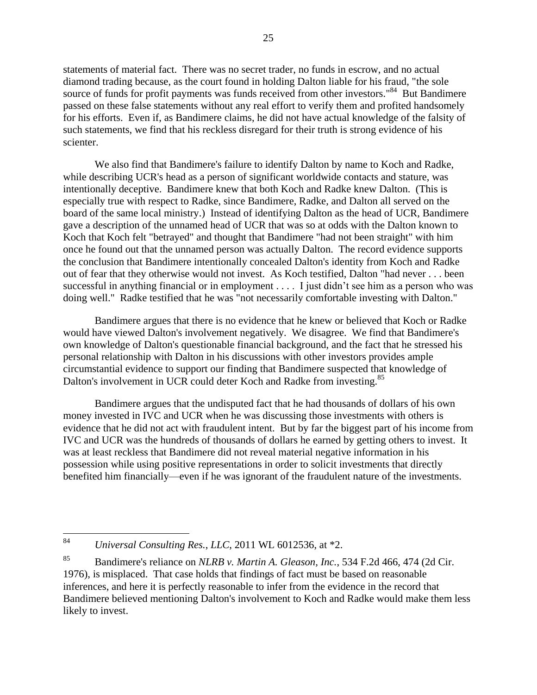statements of material fact. There was no secret trader, no funds in escrow, and no actual diamond trading because, as the court found in holding Dalton liable for his fraud, "the sole source of funds for profit payments was funds received from other investors."<sup>84</sup> But Bandimere passed on these false statements without any real effort to verify them and profited handsomely for his efforts. Even if, as Bandimere claims, he did not have actual knowledge of the falsity of such statements, we find that his reckless disregard for their truth is strong evidence of his scienter.

We also find that Bandimere's failure to identify Dalton by name to Koch and Radke, while describing UCR's head as a person of significant worldwide contacts and stature, was intentionally deceptive. Bandimere knew that both Koch and Radke knew Dalton. (This is especially true with respect to Radke, since Bandimere, Radke, and Dalton all served on the board of the same local ministry.) Instead of identifying Dalton as the head of UCR, Bandimere gave a description of the unnamed head of UCR that was so at odds with the Dalton known to Koch that Koch felt "betrayed" and thought that Bandimere "had not been straight" with him once he found out that the unnamed person was actually Dalton. The record evidence supports the conclusion that Bandimere intentionally concealed Dalton's identity from Koch and Radke out of fear that they otherwise would not invest. As Koch testified, Dalton "had never . . . been successful in anything financial or in employment . . . . I just didn't see him as a person who was doing well." Radke testified that he was "not necessarily comfortable investing with Dalton."

Bandimere argues that there is no evidence that he knew or believed that Koch or Radke would have viewed Dalton's involvement negatively. We disagree. We find that Bandimere's own knowledge of Dalton's questionable financial background, and the fact that he stressed his personal relationship with Dalton in his discussions with other investors provides ample circumstantial evidence to support our finding that Bandimere suspected that knowledge of Dalton's involvement in UCR could deter Koch and Radke from investing.<sup>85</sup>

Bandimere argues that the undisputed fact that he had thousands of dollars of his own money invested in IVC and UCR when he was discussing those investments with others is evidence that he did not act with fraudulent intent. But by far the biggest part of his income from IVC and UCR was the hundreds of thousands of dollars he earned by getting others to invest. It was at least reckless that Bandimere did not reveal material negative information in his possession while using positive representations in order to solicit investments that directly benefited him financially—even if he was ignorant of the fraudulent nature of the investments.

<sup>84</sup> <sup>84</sup> *Universal Consulting Res.*, *LLC*, 2011 WL 6012536, at \*2.

<sup>85</sup> Bandimere's reliance on *NLRB v. Martin A. Gleason, Inc.*, 534 F.2d 466, 474 (2d Cir. 1976), is misplaced. That case holds that findings of fact must be based on reasonable inferences, and here it is perfectly reasonable to infer from the evidence in the record that Bandimere believed mentioning Dalton's involvement to Koch and Radke would make them less likely to invest.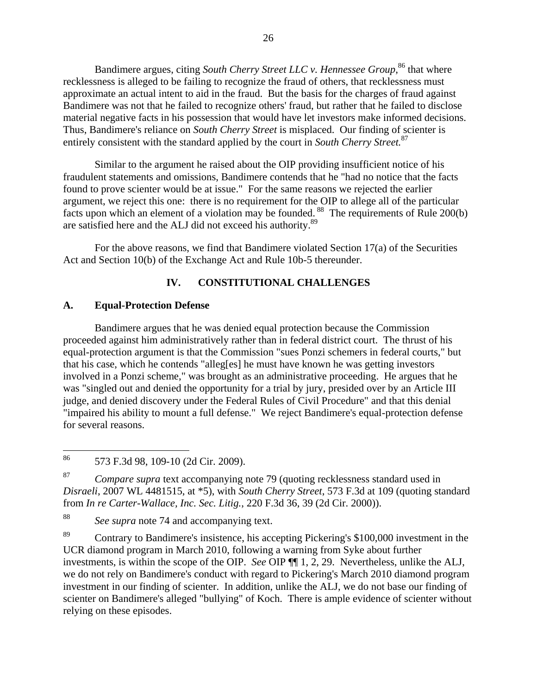Bandimere argues, citing *South Cherry Street LLC v. Hennessee Group*, <sup>86</sup> that where recklessness is alleged to be failing to recognize the fraud of others, that recklessness must approximate an actual intent to aid in the fraud. But the basis for the charges of fraud against Bandimere was not that he failed to recognize others' fraud, but rather that he failed to disclose material negative facts in his possession that would have let investors make informed decisions. Thus, Bandimere's reliance on *South Cherry Street* is misplaced. Our finding of scienter is entirely consistent with the standard applied by the court in *South Cherry Street.*<sup>87</sup>

Similar to the argument he raised about the OIP providing insufficient notice of his fraudulent statements and omissions, Bandimere contends that he "had no notice that the facts found to prove scienter would be at issue." For the same reasons we rejected the earlier argument, we reject this one: there is no requirement for the OIP to allege all of the particular facts upon which an element of a violation may be founded. <sup>88</sup> The requirements of Rule 200(b) are satisfied here and the ALJ did not exceed his authority.<sup>89</sup>

For the above reasons, we find that Bandimere violated Section 17(a) of the Securities Act and Section 10(b) of the Exchange Act and Rule 10b-5 thereunder.

# **IV. CONSTITUTIONAL CHALLENGES**

## **A. Equal-Protection Defense**

Bandimere argues that he was denied equal protection because the Commission proceeded against him administratively rather than in federal district court. The thrust of his equal-protection argument is that the Commission "sues Ponzi schemers in federal courts," but that his case, which he contends "alleg[es] he must have known he was getting investors involved in a Ponzi scheme," was brought as an administrative proceeding. He argues that he was "singled out and denied the opportunity for a trial by jury, presided over by an Article III judge, and denied discovery under the Federal Rules of Civil Procedure" and that this denial "impaired his ability to mount a full defense." We reject Bandimere's equal-protection defense for several reasons.

<sup>87</sup> *Compare supra* text accompanying note 79 (quoting recklessness standard used in *Disraeli*, 2007 WL 4481515, at \*5), with *South Cherry Street*, 573 F.3d at 109 (quoting standard from *In re Carter-Wallace, Inc. Sec. Litig.*, 220 F.3d 36, 39 (2d Cir. 2000)).

<sup>88</sup> *See supra* note 74 and accompanying text.

<sup>89</sup> Contrary to Bandimere's insistence, his accepting Pickering's \$100,000 investment in the UCR diamond program in March 2010, following a warning from Syke about further investments, is within the scope of the OIP. *See* OIP ¶¶ 1, 2, 29. Nevertheless, unlike the ALJ, we do not rely on Bandimere's conduct with regard to Pickering's March 2010 diamond program investment in our finding of scienter. In addition, unlike the ALJ, we do not base our finding of scienter on Bandimere's alleged "bullying" of Koch. There is ample evidence of scienter without relying on these episodes.

<sup>86</sup> 573 F.3d 98, 109-10 (2d Cir. 2009).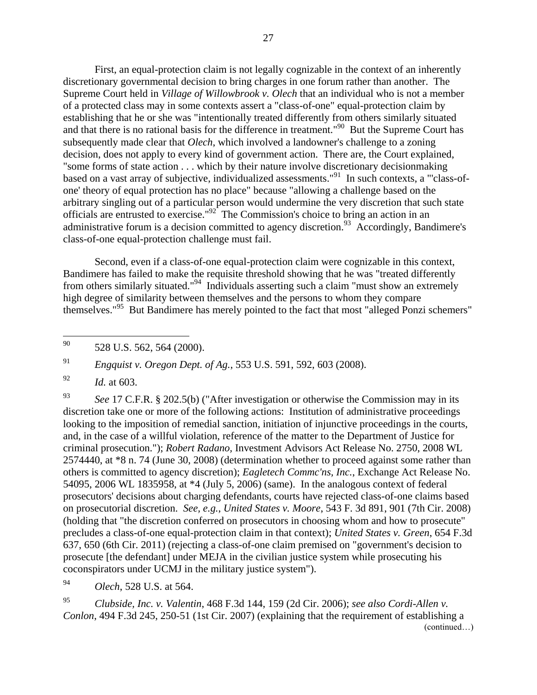First, an equal-protection claim is not legally cognizable in the context of an inherently discretionary governmental decision to bring charges in one forum rather than another. The Supreme Court held in *Village of Willowbrook v. Olech* that an individual who is not a member of a protected class may in some contexts assert a "class-of-one" equal-protection claim by establishing that he or she was "intentionally treated differently from others similarly situated and that there is no rational basis for the difference in treatment."<sup>90</sup> But the Supreme Court has subsequently made clear that *Olech*, which involved a landowner's challenge to a zoning decision, does not apply to every kind of government action. There are, the Court explained, "some forms of state action . . . which by their nature involve discretionary decisionmaking based on a vast array of subjective, individualized assessments."<sup>91</sup> In such contexts, a "class-ofone' theory of equal protection has no place" because "allowing a challenge based on the arbitrary singling out of a particular person would undermine the very discretion that such state officials are entrusted to exercise."<sup>92</sup> The Commission's choice to bring an action in an administrative forum is a decision committed to agency discretion.<sup>93</sup> Accordingly, Bandimere's class-of-one equal-protection challenge must fail.

Second, even if a class-of-one equal-protection claim were cognizable in this context, Bandimere has failed to make the requisite threshold showing that he was "treated differently from others similarly situated."<sup>94</sup> Individuals asserting such a claim "must show an extremely high degree of similarity between themselves and the persons to whom they compare themselves."<sup>95</sup> But Bandimere has merely pointed to the fact that most "alleged Ponzi schemers"

<sup>91</sup> *Engquist v. Oregon Dept. of Ag.*, 553 U.S. 591, 592, 603 (2008).

<sup>92</sup> *Id.* at 603.

<sup>93</sup> *See* 17 C.F.R. § 202.5(b) ("After investigation or otherwise the Commission may in its discretion take one or more of the following actions: Institution of administrative proceedings looking to the imposition of remedial sanction, initiation of injunctive proceedings in the courts, and, in the case of a willful violation, reference of the matter to the Department of Justice for criminal prosecution."); *Robert Radano,* Investment Advisors Act Release No. 2750, 2008 WL 2574440, at \*8 n. 74 (June 30, 2008) (determination whether to proceed against some rather than others is committed to agency discretion); *Eagletech Commc'ns, Inc.*, Exchange Act Release No. 54095, 2006 WL 1835958, at \*4 (July 5, 2006) (same). In the analogous context of federal prosecutors' decisions about charging defendants, courts have rejected class-of-one claims based on prosecutorial discretion. *See, e.g.*, *United States v. Moore*, 543 F. 3d 891, 901 (7th Cir. 2008) (holding that "the discretion conferred on prosecutors in choosing whom and how to prosecute" precludes a class-of-one equal-protection claim in that context); *United States v. Green*, 654 F.3d 637, 650 (6th Cir. 2011) (rejecting a class-of-one claim premised on "government's decision to prosecute [the defendant] under MEJA in the civilian justice system while prosecuting his coconspirators under UCMJ in the military justice system").

<sup>94</sup> *Olech*, 528 U.S. at 564.

<sup>95</sup> *Clubside, Inc. v. Valentin*, 468 F.3d 144, 159 (2d Cir. 2006); *see also Cordi-Allen v. Conlon*, 494 F.3d 245, 250-51 (1st Cir. 2007) (explaining that the requirement of establishing a (continued…)

 $90\,$ 528 U.S. 562, 564 (2000).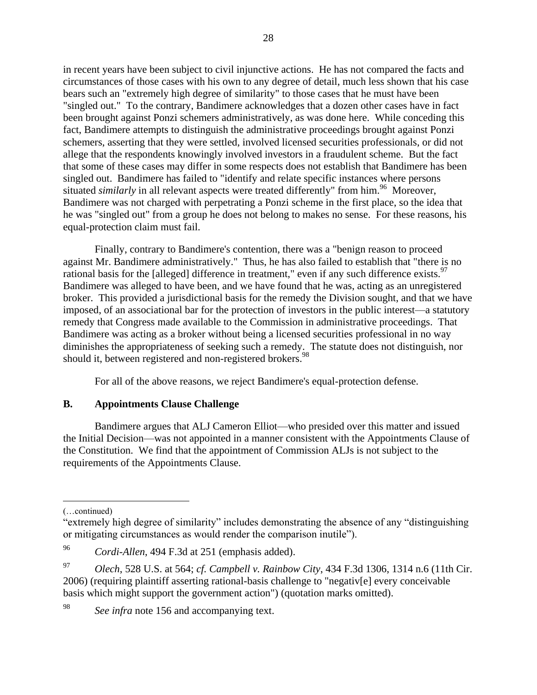in recent years have been subject to civil injunctive actions. He has not compared the facts and circumstances of those cases with his own to any degree of detail, much less shown that his case bears such an "extremely high degree of similarity" to those cases that he must have been "singled out." To the contrary, Bandimere acknowledges that a dozen other cases have in fact been brought against Ponzi schemers administratively, as was done here. While conceding this fact, Bandimere attempts to distinguish the administrative proceedings brought against Ponzi schemers, asserting that they were settled, involved licensed securities professionals, or did not allege that the respondents knowingly involved investors in a fraudulent scheme. But the fact that some of these cases may differ in some respects does not establish that Bandimere has been singled out. Bandimere has failed to "identify and relate specific instances where persons situated *similarly* in all relevant aspects were treated differently" from him.<sup>96</sup> Moreover, Bandimere was not charged with perpetrating a Ponzi scheme in the first place, so the idea that he was "singled out" from a group he does not belong to makes no sense. For these reasons, his equal-protection claim must fail.

Finally, contrary to Bandimere's contention, there was a "benign reason to proceed against Mr. Bandimere administratively." Thus, he has also failed to establish that "there is no rational basis for the [alleged] difference in treatment," even if any such difference exists.<sup>97</sup> Bandimere was alleged to have been, and we have found that he was, acting as an unregistered broker. This provided a jurisdictional basis for the remedy the Division sought, and that we have imposed, of an associational bar for the protection of investors in the public interest—a statutory remedy that Congress made available to the Commission in administrative proceedings. That Bandimere was acting as a broker without being a licensed securities professional in no way diminishes the appropriateness of seeking such a remedy. The statute does not distinguish, nor should it, between registered and non-registered brokers.<sup>98</sup>

For all of the above reasons, we reject Bandimere's equal-protection defense.

## **B. Appointments Clause Challenge**

Bandimere argues that ALJ Cameron Elliot—who presided over this matter and issued the Initial Decision—was not appointed in a manner consistent with the Appointments Clause of the Constitution. We find that the appointment of Commission ALJs is not subject to the requirements of the Appointments Clause.

 $\overline{a}$ 

<sup>98</sup> *See infra* note 156 and accompanying text.

<sup>(…</sup>continued)

<sup>&</sup>quot;extremely high degree of similarity" includes demonstrating the absence of any "distinguishing or mitigating circumstances as would render the comparison inutile").

<sup>96</sup> *Cordi-Allen*, 494 F.3d at 251 (emphasis added).

<sup>97</sup> *Olech*, 528 U.S. at 564; *cf. Campbell v. Rainbow City*, 434 F.3d 1306, 1314 n.6 (11th Cir. 2006) (requiring plaintiff asserting rational-basis challenge to "negativ[e] every conceivable basis which might support the government action") (quotation marks omitted).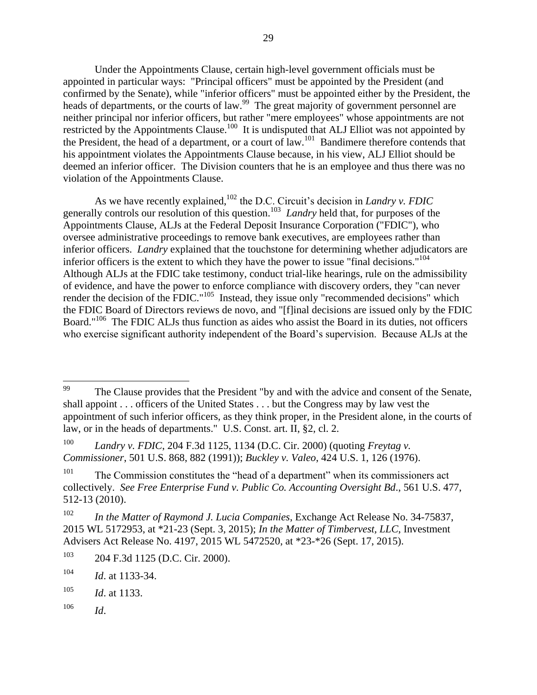Under the Appointments Clause, certain high-level government officials must be appointed in particular ways: "Principal officers" must be appointed by the President (and confirmed by the Senate), while "inferior officers" must be appointed either by the President, the heads of departments, or the courts of law.<sup>99</sup> The great majority of government personnel are neither principal nor inferior officers, but rather "mere employees" whose appointments are not restricted by the Appointments Clause.<sup>100</sup> It is undisputed that ALJ Elliot was not appointed by the President, the head of a department, or a court of law.<sup>101</sup> Bandimere therefore contends that his appointment violates the Appointments Clause because, in his view, ALJ Elliot should be deemed an inferior officer. The Division counters that he is an employee and thus there was no violation of the Appointments Clause.

As we have recently explained,<sup>102</sup> the D.C. Circuit's decision in *Landry v. FDIC* generally controls our resolution of this question.<sup>103</sup> Landry held that, for purposes of the Appointments Clause, ALJs at the Federal Deposit Insurance Corporation ("FDIC"), who oversee administrative proceedings to remove bank executives, are employees rather than inferior officers. *Landry* explained that the touchstone for determining whether adjudicators are inferior officers is the extent to which they have the power to issue "final decisions."<sup>104</sup> Although ALJs at the FDIC take testimony, conduct trial-like hearings, rule on the admissibility of evidence, and have the power to enforce compliance with discovery orders, they "can never render the decision of the FDIC."<sup>105</sup> Instead, they issue only "recommended decisions" which the FDIC Board of Directors reviews de novo, and "[f]inal decisions are issued only by the FDIC Board."<sup>106</sup> The FDIC ALJs thus function as aides who assist the Board in its duties, not officers who exercise significant authority independent of the Board's supervision. Because ALJs at the

<sup>106</sup> *Id*.

<sup>99</sup> The Clause provides that the President "by and with the advice and consent of the Senate, shall appoint . . . officers of the United States . . . but the Congress may by law vest the appointment of such inferior officers, as they think proper, in the President alone, in the courts of law, or in the heads of departments." U.S. Const. art. II, §2, cl. 2.

<sup>100</sup> *Landry v. FDIC*, 204 F.3d 1125, 1134 (D.C. Cir. 2000) (quoting *Freytag v. Commissioner*, 501 U.S. 868, 882 (1991)); *Buckley v. Valeo*, 424 U.S. 1, 126 (1976).

 $101$  The Commission constitutes the "head of a department" when its commissioners act collectively. *See Free Enterprise Fund v. Public Co. Accounting Oversight Bd*., 561 U.S. 477, 512-13 (2010).

<sup>102</sup> *In the Matter of Raymond J. Lucia Companies*, Exchange Act Release No. 34-75837, 2015 WL 5172953, at \*21-23 (Sept. 3, 2015); *In the Matter of Timbervest, LLC*, Investment Advisers Act Release No. 4197, 2015 WL 5472520, at \*23-\*26 (Sept. 17, 2015).

<sup>103</sup> 204 F.3d 1125 (D.C. Cir. 2000).

<sup>104</sup> *Id*. at 1133-34.

<sup>105</sup> *Id*. at 1133.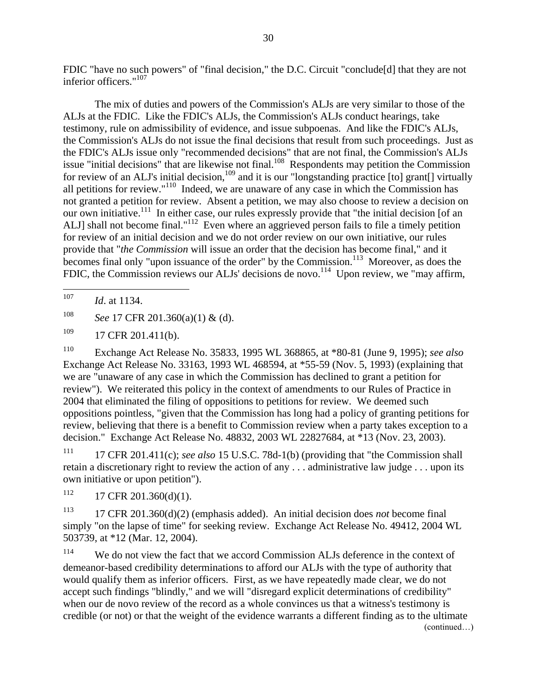FDIC "have no such powers" of "final decision," the D.C. Circuit "conclude[d] that they are not inferior officers."<sup>107</sup>

The mix of duties and powers of the Commission's ALJs are very similar to those of the ALJs at the FDIC. Like the FDIC's ALJs, the Commission's ALJs conduct hearings, take testimony, rule on admissibility of evidence, and issue subpoenas. And like the FDIC's ALJs, the Commission's ALJs do not issue the final decisions that result from such proceedings. Just as the FDIC's ALJs issue only "recommended decisions" that are not final, the Commission's ALJs issue "initial decisions" that are likewise not final.<sup>108</sup> Respondents may petition the Commission for review of an ALJ's initial decision,  $^{109}$  and it is our "longstanding practice [to] grant[] virtually all petitions for review." $110$  Indeed, we are unaware of any case in which the Commission has not granted a petition for review. Absent a petition, we may also choose to review a decision on our own initiative.<sup>111</sup> In either case, our rules expressly provide that "the initial decision [of an ALJ] shall not become final."<sup>112</sup> Even where an aggrieved person fails to file a timely petition for review of an initial decision and we do not order review on our own initiative, our rules provide that "*the Commission* will issue an order that the decision has become final," and it becomes final only "upon issuance of the order" by the Commission.<sup>113</sup> Moreover, as does the FDIC, the Commission reviews our ALJs' decisions de novo.<sup>114</sup> Upon review, we "may affirm,

<sup>107</sup> *Id*. at 1134.

 $\overline{a}$ 

<sup>108</sup> *See* 17 CFR 201.360(a)(1) & (d).

 $109$  17 CFR 201.411(b).

<sup>110</sup> Exchange Act Release No. 35833, 1995 WL 368865, at \*80-81 (June 9, 1995); *see also* Exchange Act Release No. 33163, 1993 WL 468594, at \*55-59 (Nov. 5, 1993) (explaining that we are "unaware of any case in which the Commission has declined to grant a petition for review"). We reiterated this policy in the context of amendments to our Rules of Practice in 2004 that eliminated the filing of oppositions to petitions for review. We deemed such oppositions pointless, "given that the Commission has long had a policy of granting petitions for review, believing that there is a benefit to Commission review when a party takes exception to a decision." Exchange Act Release No. 48832, 2003 WL 22827684, at \*13 (Nov. 23, 2003).

<sup>111</sup> 17 CFR 201.411(c); *see also* 15 U.S.C. 78d-1(b) (providing that "the Commission shall retain a discretionary right to review the action of any . . . administrative law judge . . . upon its own initiative or upon petition").

 $112$  17 CFR 201.360(d)(1).

<sup>113</sup> 17 CFR 201.360(d)(2) (emphasis added). An initial decision does *not* become final simply "on the lapse of time" for seeking review. Exchange Act Release No. 49412, 2004 WL 503739, at \*12 (Mar. 12, 2004).

<sup>114</sup> We do not view the fact that we accord Commission ALJs deference in the context of demeanor-based credibility determinations to afford our ALJs with the type of authority that would qualify them as inferior officers. First, as we have repeatedly made clear, we do not accept such findings "blindly," and we will "disregard explicit determinations of credibility" when our de novo review of the record as a whole convinces us that a witness's testimony is credible (or not) or that the weight of the evidence warrants a different finding as to the ultimate (continued…)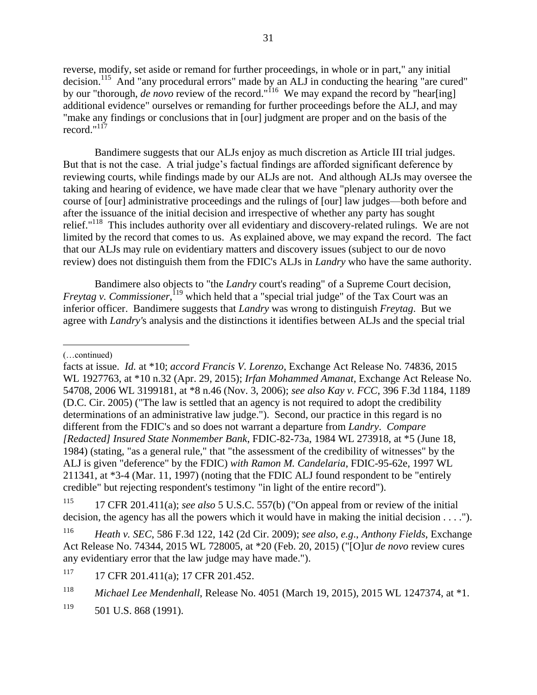reverse, modify, set aside or remand for further proceedings, in whole or in part," any initial decision.<sup>115</sup> And "any procedural errors" made by an ALJ in conducting the hearing "are cured" by our "thorough, *de novo* review of the record."<sup>116</sup> We may expand the record by "hear[ing] additional evidence" ourselves or remanding for further proceedings before the ALJ, and may "make any findings or conclusions that in [our] judgment are proper and on the basis of the record." $117$ 

Bandimere suggests that our ALJs enjoy as much discretion as Article III trial judges. But that is not the case. A trial judge's factual findings are afforded significant deference by reviewing courts, while findings made by our ALJs are not. And although ALJs may oversee the taking and hearing of evidence, we have made clear that we have "plenary authority over the course of [our] administrative proceedings and the rulings of [our] law judges—both before and after the issuance of the initial decision and irrespective of whether any party has sought relief."<sup>118</sup> This includes authority over all evidentiary and discovery-related rulings. We are not limited by the record that comes to us. As explained above, we may expand the record. The fact that our ALJs may rule on evidentiary matters and discovery issues (subject to our de novo review) does not distinguish them from the FDIC's ALJs in *Landry* who have the same authority.

Bandimere also objects to "the *Landry* court's reading" of a Supreme Court decision, *Freytag v. Commissioner*,<sup>119</sup> which held that a "special trial judge" of the Tax Court was an inferior officer. Bandimere suggests that *Landry* was wrong to distinguish *Freytag*. But we agree with *Landry'*s analysis and the distinctions it identifies between ALJs and the special trial

(…continued)

 $\overline{a}$ 

<sup>115</sup> 17 CFR 201.411(a); *see also* 5 U.S.C. 557(b) ("On appeal from or review of the initial decision, the agency has all the powers which it would have in making the initial decision . . . .").

facts at issue. *Id.* at \*10; *accord Francis V. Lorenzo*, Exchange Act Release No. 74836, 2015 WL 1927763, at \*10 n.32 (Apr. 29, 2015); *Irfan Mohammed Amanat*, Exchange Act Release No. 54708, 2006 WL 3199181, at \*8 n.46 (Nov. 3, 2006); *see also Kay v. FCC*, 396 F.3d 1184, 1189 (D.C. Cir. 2005) ("The law is settled that an agency is not required to adopt the credibility determinations of an administrative law judge."). Second, our practice in this regard is no different from the FDIC's and so does not warrant a departure from *Landry*. *Compare [Redacted] Insured State Nonmember Bank*, FDIC-82-73a, 1984 WL 273918, at \*5 (June 18, 1984) (stating, "as a general rule," that "the assessment of the credibility of witnesses" by the ALJ is given "deference" by the FDIC) *with Ramon M. Candelaria*, FDIC-95-62e, 1997 WL 211341, at \*3-4 (Mar. 11, 1997) (noting that the FDIC ALJ found respondent to be "entirely credible" but rejecting respondent's testimony "in light of the entire record").

<sup>116</sup> *Heath v. SEC*, 586 F.3d 122, 142 (2d Cir. 2009); *see also, e.g*., *Anthony Fields*, Exchange Act Release No. 74344, 2015 WL 728005, at \*20 (Feb. 20, 2015) ("[O]ur *de novo* review cures any evidentiary error that the law judge may have made.").

<sup>117 17</sup> CFR 201.411(a); 17 CFR 201.452.

<sup>118</sup> *Michael Lee Mendenhall*, Release No. 4051 (March 19, 2015), 2015 WL 1247374, at \*1.

 $119$  501 U.S. 868 (1991).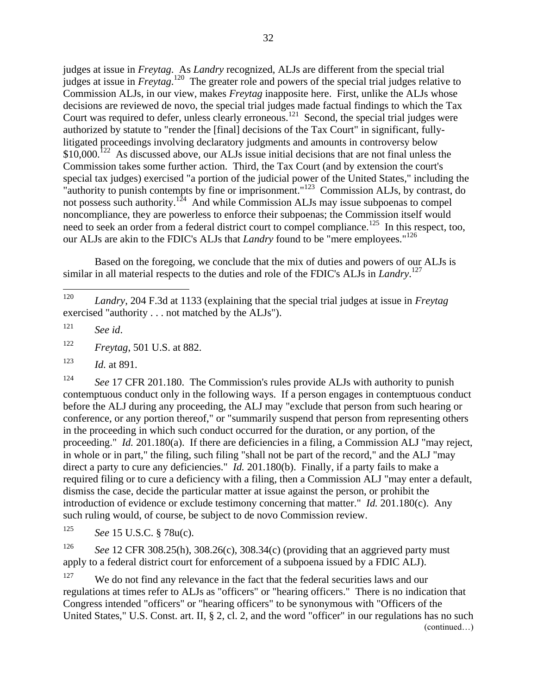judges at issue in *Freytag*. As *Landry* recognized, ALJs are different from the special trial judges at issue in *Freytag*. 120 The greater role and powers of the special trial judges relative to Commission ALJs, in our view, makes *Freytag* inapposite here. First, unlike the ALJs whose decisions are reviewed de novo, the special trial judges made factual findings to which the Tax Court was required to defer, unless clearly erroneous.<sup>121</sup> Second, the special trial judges were authorized by statute to "render the [final] decisions of the Tax Court" in significant, fullylitigated proceedings involving declaratory judgments and amounts in controversy below  $$10,000$ .<sup>122</sup> As discussed above, our ALJs issue initial decisions that are not final unless the Commission takes some further action. Third, the Tax Court (and by extension the court's special tax judges) exercised "a portion of the judicial power of the United States," including the "authority to punish contempts by fine or imprisonment."<sup>123</sup> Commission ALJs, by contrast, do not possess such authority.<sup>124</sup> And while Commission ALJs may issue subpoenas to compel noncompliance, they are powerless to enforce their subpoenas; the Commission itself would need to seek an order from a federal district court to compel compliance.<sup>125</sup> In this respect, too, our ALJs are akin to the FDIC's ALJs that *Landry* found to be "mere employees."<sup>126</sup>

Based on the foregoing, we conclude that the mix of duties and powers of our ALJs is similar in all material respects to the duties and role of the FDIC's ALJs in *Landry*. 127

<sup>121</sup> *See id*.

 $\overline{a}$ 

<sup>122</sup> *Freytag*, 501 U.S. at 882.

<sup>123</sup> *Id.* at 891.

<sup>124</sup> *See* 17 CFR 201.180. The Commission's rules provide ALJs with authority to punish contemptuous conduct only in the following ways. If a person engages in contemptuous conduct before the ALJ during any proceeding, the ALJ may "exclude that person from such hearing or conference, or any portion thereof," or "summarily suspend that person from representing others in the proceeding in which such conduct occurred for the duration, or any portion, of the proceeding." *Id.* 201.180(a). If there are deficiencies in a filing, a Commission ALJ "may reject, in whole or in part," the filing, such filing "shall not be part of the record," and the ALJ "may direct a party to cure any deficiencies." *Id.* 201.180(b). Finally, if a party fails to make a required filing or to cure a deficiency with a filing, then a Commission ALJ "may enter a default, dismiss the case, decide the particular matter at issue against the person, or prohibit the introduction of evidence or exclude testimony concerning that matter." *Id.* 201.180(c). Any such ruling would, of course, be subject to de novo Commission review.

<sup>125</sup> *See* 15 U.S.C. § 78u(c).

<sup>126</sup> *See* 12 CFR 308.25(h), 308.26(c), 308.34(c) (providing that an aggrieved party must apply to a federal district court for enforcement of a subpoena issued by a FDIC ALJ).

<sup>127</sup> We do not find any relevance in the fact that the federal securities laws and our regulations at times refer to ALJs as "officers" or "hearing officers." There is no indication that Congress intended "officers" or "hearing officers" to be synonymous with "Officers of the United States," U.S. Const. art. II, § 2, cl. 2, and the word "officer" in our regulations has no such (continued…)

<sup>120</sup> *Landry*, 204 F.3d at 1133 (explaining that the special trial judges at issue in *Freytag*  exercised "authority . . . not matched by the ALJs").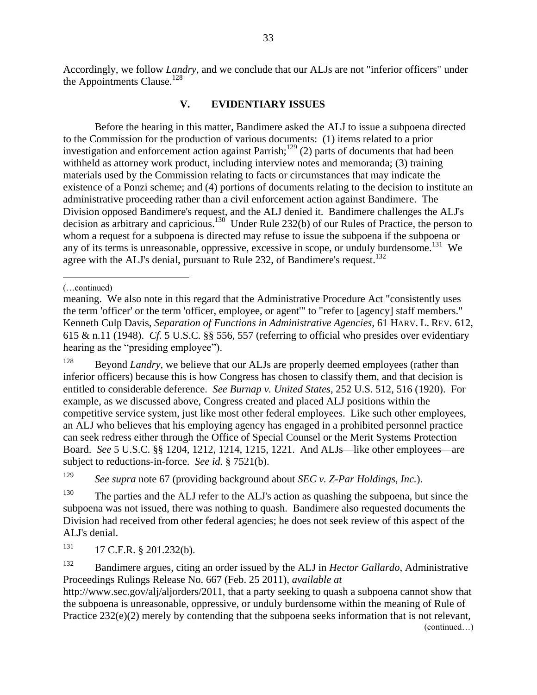Accordingly, we follow *Landry*, and we conclude that our ALJs are not "inferior officers" under the Appointments Clause.<sup>128</sup>

#### **V. EVIDENTIARY ISSUES**

Before the hearing in this matter, Bandimere asked the ALJ to issue a subpoena directed to the Commission for the production of various documents: (1) items related to a prior investigation and enforcement action against Parrish;<sup>129</sup> (2) parts of documents that had been withheld as attorney work product, including interview notes and memoranda; (3) training materials used by the Commission relating to facts or circumstances that may indicate the existence of a Ponzi scheme; and (4) portions of documents relating to the decision to institute an administrative proceeding rather than a civil enforcement action against Bandimere. The Division opposed Bandimere's request, and the ALJ denied it. Bandimere challenges the ALJ's decision as arbitrary and capricious.<sup>130</sup> Under Rule 232(b) of our Rules of Practice, the person to whom a request for a subpoena is directed may refuse to issue the subpoena if the subpoena or any of its terms is unreasonable, oppressive, excessive in scope, or unduly burdensome.<sup>131</sup> We agree with the ALJ's denial, pursuant to Rule 232, of Bandimere's request.<sup>132</sup>

<sup>128</sup> Beyond *Landry*, we believe that our ALJs are properly deemed employees (rather than inferior officers) because this is how Congress has chosen to classify them, and that decision is entitled to considerable deference. *See Burnap v. United States*, 252 U.S. 512, 516 (1920). For example, as we discussed above, Congress created and placed ALJ positions within the competitive service system, just like most other federal employees. Like such other employees, an ALJ who believes that his employing agency has engaged in a prohibited personnel practice can seek redress either through the Office of Special Counsel or the Merit Systems Protection Board. *See* 5 U.S.C. §§ 1204, 1212, 1214, 1215, 1221. And ALJs—like other employees—are subject to reductions-in-force. *See id.* § 7521(b).

<sup>129</sup> *See supra* note 67 (providing background about *SEC v. Z-Par Holdings, Inc.*).

<sup>130</sup> The parties and the ALJ refer to the ALJ's action as quashing the subpoena, but since the subpoena was not issued, there was nothing to quash. Bandimere also requested documents the Division had received from other federal agencies; he does not seek review of this aspect of the ALJ's denial.

 $131$  17 C.F.R. § 201.232(b).

<sup>132</sup> Bandimere argues, citing an order issued by the ALJ in *Hector Gallardo*, Administrative Proceedings Rulings Release No. 667 (Feb. 25 2011), *available at*

http://www.sec.gov/alj/aljorders/2011, that a party seeking to quash a subpoena cannot show that the subpoena is unreasonable, oppressive, or unduly burdensome within the meaning of Rule of Practice  $232(e)(2)$  merely by contending that the subpoena seeks information that is not relevant,

(continued…)

 $\overline{a}$ (…continued)

meaning. We also note in this regard that the Administrative Procedure Act "consistently uses the term 'officer' or the term 'officer, employee, or agent'" to "refer to [agency] staff members." Kenneth Culp Davis, *Separation of Functions in Administrative Agencies,* 61 HARV. L. REV. 612, 615 & n.11 (1948). *Cf.* 5 U.S.C. §§ 556, 557 (referring to official who presides over evidentiary hearing as the "presiding employee").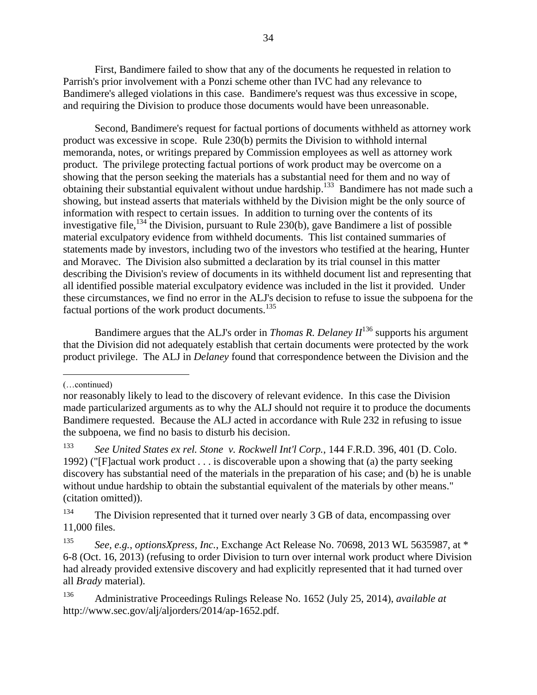First, Bandimere failed to show that any of the documents he requested in relation to Parrish's prior involvement with a Ponzi scheme other than IVC had any relevance to Bandimere's alleged violations in this case. Bandimere's request was thus excessive in scope, and requiring the Division to produce those documents would have been unreasonable.

Second, Bandimere's request for factual portions of documents withheld as attorney work product was excessive in scope. Rule 230(b) permits the Division to withhold internal memoranda, notes, or writings prepared by Commission employees as well as attorney work product. The privilege protecting factual portions of work product may be overcome on a showing that the person seeking the materials has a substantial need for them and no way of obtaining their substantial equivalent without undue hardship.<sup>133</sup> Bandimere has not made such a showing, but instead asserts that materials withheld by the Division might be the only source of information with respect to certain issues. In addition to turning over the contents of its investigative file,<sup>134</sup> the Division, pursuant to Rule 230(b), gave Bandimere a list of possible material exculpatory evidence from withheld documents. This list contained summaries of statements made by investors, including two of the investors who testified at the hearing, Hunter and Moravec. The Division also submitted a declaration by its trial counsel in this matter describing the Division's review of documents in its withheld document list and representing that all identified possible material exculpatory evidence was included in the list it provided. Under these circumstances, we find no error in the ALJ's decision to refuse to issue the subpoena for the factual portions of the work product documents.<sup>135</sup>

Bandimere argues that the ALJ's order in *Thomas R. Delaney II*<sup>136</sup> supports his argument that the Division did not adequately establish that certain documents were protected by the work product privilege. The ALJ in *Delaney* found that correspondence between the Division and the

 $\overline{a}$ (…continued)

nor reasonably likely to lead to the discovery of relevant evidence. In this case the Division made particularized arguments as to why the ALJ should not require it to produce the documents Bandimere requested. Because the ALJ acted in accordance with Rule 232 in refusing to issue the subpoena, we find no basis to disturb his decision.

<sup>133</sup> *See United States ex rel. Stone v. Rockwell Int'l Corp.*, 144 F.R.D. 396, 401 (D. Colo. 1992) ("[F]actual work product  $\dots$  is discoverable upon a showing that (a) the party seeking discovery has substantial need of the materials in the preparation of his case; and (b) he is unable without undue hardship to obtain the substantial equivalent of the materials by other means." (citation omitted)).

<sup>&</sup>lt;sup>134</sup> The Division represented that it turned over nearly 3 GB of data, encompassing over 11,000 files.

<sup>135</sup> *See, e.g.*, *optionsXpress, Inc.*, Exchange Act Release No. 70698, 2013 WL 5635987, at \* 6-8 (Oct. 16, 2013) (refusing to order Division to turn over internal work product where Division had already provided extensive discovery and had explicitly represented that it had turned over all *Brady* material).

<sup>136</sup> Administrative Proceedings Rulings Release No. 1652 (July 25, 2014), *available at*  http://www.sec.gov/alj/aljorders/2014/ap-1652.pdf.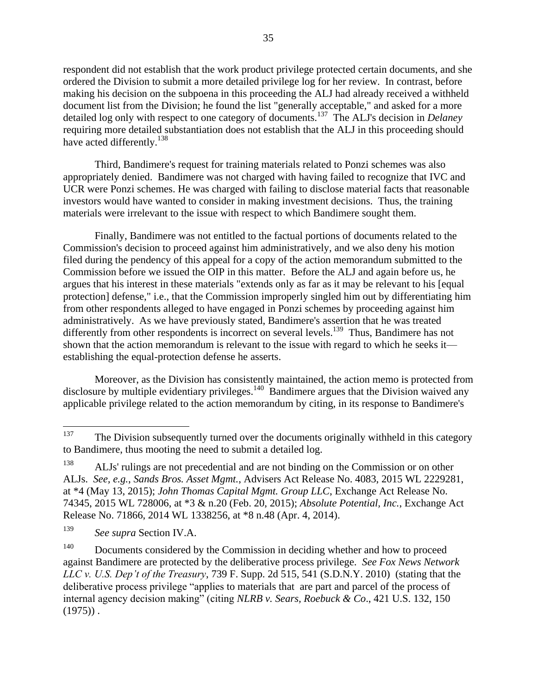respondent did not establish that the work product privilege protected certain documents, and she ordered the Division to submit a more detailed privilege log for her review. In contrast, before making his decision on the subpoena in this proceeding the ALJ had already received a withheld document list from the Division; he found the list "generally acceptable," and asked for a more detailed log only with respect to one category of documents.<sup>137</sup> The ALJ's decision in *Delaney* requiring more detailed substantiation does not establish that the ALJ in this proceeding should have acted differently.<sup>138</sup>

Third, Bandimere's request for training materials related to Ponzi schemes was also appropriately denied. Bandimere was not charged with having failed to recognize that IVC and UCR were Ponzi schemes. He was charged with failing to disclose material facts that reasonable investors would have wanted to consider in making investment decisions. Thus, the training materials were irrelevant to the issue with respect to which Bandimere sought them.

Finally, Bandimere was not entitled to the factual portions of documents related to the Commission's decision to proceed against him administratively, and we also deny his motion filed during the pendency of this appeal for a copy of the action memorandum submitted to the Commission before we issued the OIP in this matter.Before the ALJ and again before us, he argues that his interest in these materials "extends only as far as it may be relevant to his [equal protection] defense," i.e., that the Commission improperly singled him out by differentiating him from other respondents alleged to have engaged in Ponzi schemes by proceeding against him administratively. As we have previously stated, Bandimere's assertion that he was treated differently from other respondents is incorrect on several levels.<sup>139</sup> Thus, Bandimere has not shown that the action memorandum is relevant to the issue with regard to which he seeks it establishing the equal-protection defense he asserts.

Moreover, as the Division has consistently maintained, the action memo is protected from disclosure by multiple evidentiary privileges.<sup>140</sup> Bandimere argues that the Division waived any applicable privilege related to the action memorandum by citing, in its response to Bandimere's

<sup>137</sup> The Division subsequently turned over the documents originally withheld in this category to Bandimere, thus mooting the need to submit a detailed log.

<sup>138</sup> ALJs' rulings are not precedential and are not binding on the Commission or on other ALJs. *See, e.g.*, *Sands Bros. Asset Mgmt.*, Advisers Act Release No. 4083, 2015 WL 2229281, at \*4 (May 13, 2015); *John Thomas Capital Mgmt. Group LLC*, Exchange Act Release No. 74345, 2015 WL 728006, at \*3 & n.20 (Feb. 20, 2015); *Absolute Potential, Inc.*, Exchange Act Release No. 71866, 2014 WL 1338256, at \*8 n.48 (Apr. 4, 2014).

<sup>139</sup> *See supra* Section IV.A.

 $140$  Documents considered by the Commission in deciding whether and how to proceed against Bandimere are protected by the deliberative process privilege. *See Fox News Network LLC v. U.S. Dep't of the Treasury*, 739 F. Supp. 2d 515, 541 (S.D.N.Y. 2010) (stating that the deliberative process privilege "applies to materials that are part and parcel of the process of internal agency decision making" (citing *NLRB v. Sears, Roebuck & Co*., 421 U.S. 132, 150  $(1975)$ .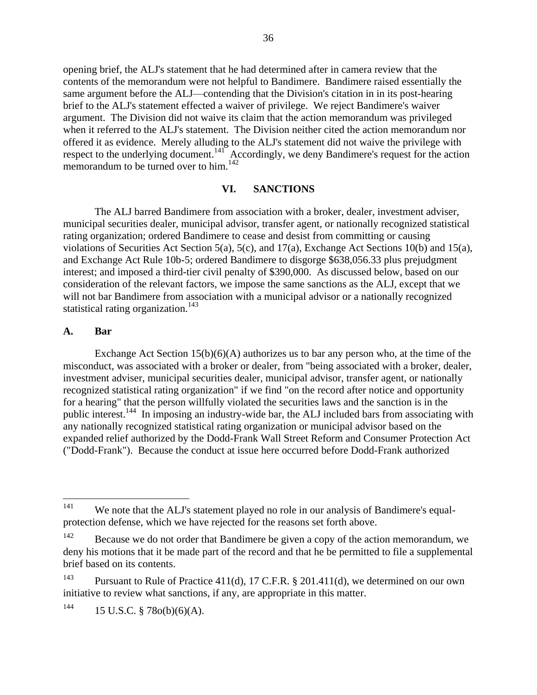opening brief, the ALJ's statement that he had determined after in camera review that the contents of the memorandum were not helpful to Bandimere. Bandimere raised essentially the same argument before the ALJ—contending that the Division's citation in in its post-hearing brief to the ALJ's statement effected a waiver of privilege. We reject Bandimere's waiver argument. The Division did not waive its claim that the action memorandum was privileged when it referred to the ALJ's statement. The Division neither cited the action memorandum nor offered it as evidence. Merely alluding to the ALJ's statement did not waive the privilege with respect to the underlying document.<sup>141</sup> Accordingly, we deny Bandimere's request for the action memorandum to be turned over to him.<sup>142</sup>

#### **VI. SANCTIONS**

The ALJ barred Bandimere from association with a broker, dealer, investment adviser, municipal securities dealer, municipal advisor, transfer agent, or nationally recognized statistical rating organization; ordered Bandimere to cease and desist from committing or causing violations of Securities Act Section 5(a), 5(c), and 17(a), Exchange Act Sections 10(b) and 15(a), and Exchange Act Rule 10b-5; ordered Bandimere to disgorge \$638,056.33 plus prejudgment interest; and imposed a third-tier civil penalty of \$390,000. As discussed below, based on our consideration of the relevant factors, we impose the same sanctions as the ALJ, except that we will not bar Bandimere from association with a municipal advisor or a nationally recognized statistical rating organization.<sup>143</sup>

#### **A. Bar**

Exchange Act Section  $15(b)(6)(A)$  authorizes us to bar any person who, at the time of the misconduct, was associated with a broker or dealer, from "being associated with a broker, dealer, investment adviser, municipal securities dealer, municipal advisor, transfer agent, or nationally recognized statistical rating organization" if we find "on the record after notice and opportunity for a hearing" that the person willfully violated the securities laws and the sanction is in the public interest.<sup>144</sup> In imposing an industry-wide bar, the ALJ included bars from associating with any nationally recognized statistical rating organization or municipal advisor based on the expanded relief authorized by the Dodd-Frank Wall Street Reform and Consumer Protection Act ("Dodd-Frank"). Because the conduct at issue here occurred before Dodd-Frank authorized

<sup>141</sup> We note that the ALJ's statement played no role in our analysis of Bandimere's equalprotection defense, which we have rejected for the reasons set forth above.

 $142$  Because we do not order that Bandimere be given a copy of the action memorandum, we deny his motions that it be made part of the record and that he be permitted to file a supplemental brief based on its contents.

<sup>&</sup>lt;sup>143</sup> Pursuant to Rule of Practice 411(d), 17 C.F.R. § 201.411(d), we determined on our own initiative to review what sanctions, if any, are appropriate in this matter.

<sup>&</sup>lt;sup>144</sup> 15 U.S.C. § 78 $o(b)(6)(A)$ .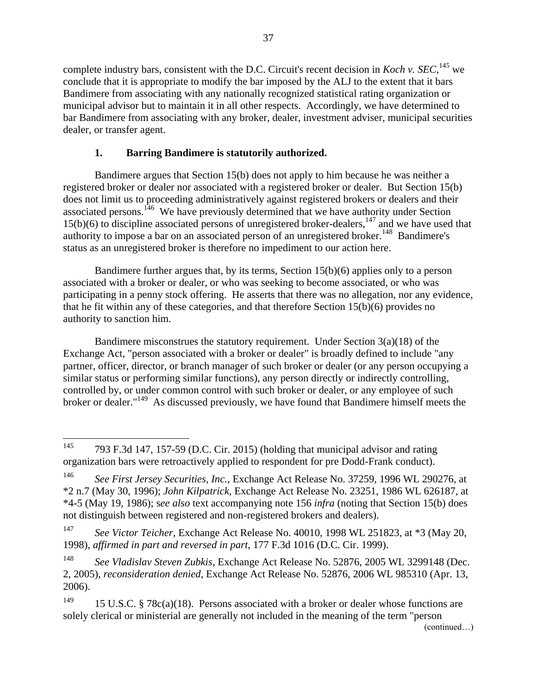complete industry bars, consistent with the D.C. Circuit's recent decision in *Koch v. SEC*, <sup>145</sup> we conclude that it is appropriate to modify the bar imposed by the ALJ to the extent that it bars Bandimere from associating with any nationally recognized statistical rating organization or municipal advisor but to maintain it in all other respects. Accordingly, we have determined to bar Bandimere from associating with any broker, dealer, investment adviser, municipal securities dealer, or transfer agent.

## **1. Barring Bandimere is statutorily authorized.**

Bandimere argues that Section 15(b) does not apply to him because he was neither a registered broker or dealer nor associated with a registered broker or dealer. But Section 15(b) does not limit us to proceeding administratively against registered brokers or dealers and their associated persons.<sup>146</sup> We have previously determined that we have authority under Section 15(b)(6) to discipline associated persons of unregistered broker-dealers,<sup>147</sup> and we have used that authority to impose a bar on an associated person of an unregistered broker.<sup>148</sup> Bandimere's status as an unregistered broker is therefore no impediment to our action here.

Bandimere further argues that, by its terms, Section 15(b)(6) applies only to a person associated with a broker or dealer, or who was seeking to become associated, or who was participating in a penny stock offering. He asserts that there was no allegation, nor any evidence, that he fit within any of these categories, and that therefore Section 15(b)(6) provides no authority to sanction him.

Bandimere misconstrues the statutory requirement. Under Section  $3(a)(18)$  of the Exchange Act, "person associated with a broker or dealer" is broadly defined to include "any partner, officer, director, or branch manager of such broker or dealer (or any person occupying a similar status or performing similar functions), any person directly or indirectly controlling, controlled by, or under common control with such broker or dealer, or any employee of such broker or dealer."<sup>149</sup> As discussed previously, we have found that Bandimere himself meets the

<sup>145</sup>  $1793$  F.3d 147, 157-59 (D.C. Cir. 2015) (holding that municipal advisor and rating organization bars were retroactively applied to respondent for pre Dodd-Frank conduct).

<sup>146</sup> *See First Jersey Securities, Inc.*, Exchange Act Release No. 37259, 1996 WL 290276, at \*2 n.7 (May 30, 1996); *John Kilpatrick*, Exchange Act Release No. 23251, 1986 WL 626187, at \*4-5 (May 19, 1986); s*ee also* text accompanying note 156 *infra* (noting that Section 15(b) does not distinguish between registered and non-registered brokers and dealers).

<sup>147</sup> *See Victor Teicher*, Exchange Act Release No. 40010, 1998 WL 251823, at \*3 (May 20, 1998), *affirmed in part and reversed in part*, 177 F.3d 1016 (D.C. Cir. 1999).

<sup>148</sup> *See Vladislav Steven Zubkis*, Exchange Act Release No. 52876, 2005 WL 3299148 (Dec. 2, 2005), *reconsideration denied*, Exchange Act Release No. 52876, 2006 WL 985310 (Apr. 13, 2006).

<sup>&</sup>lt;sup>149</sup> 15 U.S.C. § 78c(a)(18). Persons associated with a broker or dealer whose functions are solely clerical or ministerial are generally not included in the meaning of the term "person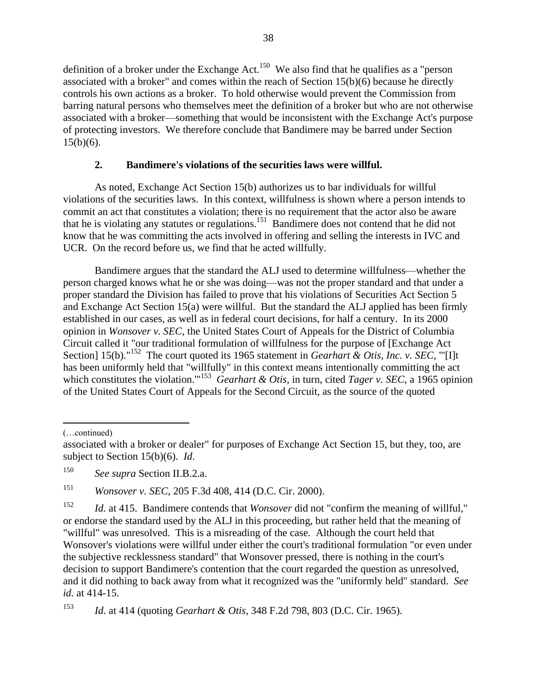definition of a broker under the Exchange  $Act.$ <sup>150</sup> We also find that he qualifies as a "person associated with a broker" and comes within the reach of Section 15(b)(6) because he directly controls his own actions as a broker. To hold otherwise would prevent the Commission from barring natural persons who themselves meet the definition of a broker but who are not otherwise associated with a broker—something that would be inconsistent with the Exchange Act's purpose of protecting investors. We therefore conclude that Bandimere may be barred under Section  $15(b)(6)$ .

#### **2. Bandimere's violations of the securities laws were willful.**

As noted, Exchange Act Section 15(b) authorizes us to bar individuals for willful violations of the securities laws. In this context, willfulness is shown where a person intends to commit an act that constitutes a violation; there is no requirement that the actor also be aware that he is violating any statutes or regulations.<sup>151</sup> Bandimere does not contend that he did not know that he was committing the acts involved in offering and selling the interests in IVC and UCR. On the record before us, we find that he acted willfully.

Bandimere argues that the standard the ALJ used to determine willfulness—whether the person charged knows what he or she was doing—was not the proper standard and that under a proper standard the Division has failed to prove that his violations of Securities Act Section 5 and Exchange Act Section 15(a) were willful. But the standard the ALJ applied has been firmly established in our cases, as well as in federal court decisions, for half a century. In its 2000 opinion in *Wonsover v. SEC*, the United States Court of Appeals for the District of Columbia Circuit called it "our traditional formulation of willfulness for the purpose of [Exchange Act Section] 15(b)."<sup>152</sup> The court quoted its 1965 statement in *Gearhart & Otis, Inc. v. SEC*, "'[I]t has been uniformly held that "willfully" in this context means intentionally committing the act which constitutes the violation."<sup>153</sup> Gearhart & Otis, in turn, cited *Tager v. SEC*, a 1965 opinion of the United States Court of Appeals for the Second Circuit, as the source of the quoted

 $\overline{a}$ (…continued)

<sup>151</sup> *Wonsover v. SEC*, 205 F.3d 408, 414 (D.C. Cir. 2000).

<sup>152</sup> *Id.* at 415. Bandimere contends that *Wonsover* did not "confirm the meaning of willful," or endorse the standard used by the ALJ in this proceeding, but rather held that the meaning of "willful" was unresolved. This is a misreading of the case. Although the court held that Wonsover's violations were willful under either the court's traditional formulation "or even under the subjective recklessness standard" that Wonsover pressed, there is nothing in the court's decision to support Bandimere's contention that the court regarded the question as unresolved, and it did nothing to back away from what it recognized was the "uniformly held" standard. *See id.* at 414-15.

<sup>153</sup> *Id*. at 414 (quoting *Gearhart & Otis*, 348 F.2d 798, 803 (D.C. Cir. 1965).

associated with a broker or dealer" for purposes of Exchange Act Section 15, but they, too, are subject to Section 15(b)(6). *Id*.

<sup>150</sup> *See supra* Section II.B.2.a.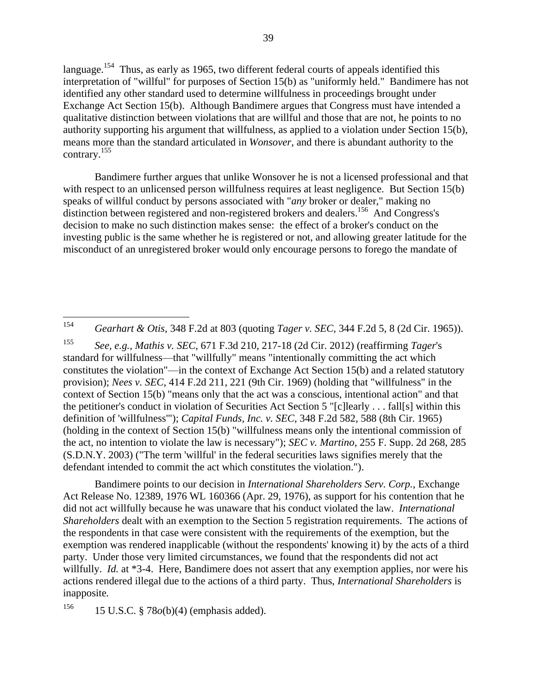language.<sup>154</sup> Thus, as early as 1965, two different federal courts of appeals identified this interpretation of "willful" for purposes of Section 15(b) as "uniformly held." Bandimere has not identified any other standard used to determine willfulness in proceedings brought under Exchange Act Section 15(b). Although Bandimere argues that Congress must have intended a qualitative distinction between violations that are willful and those that are not, he points to no authority supporting his argument that willfulness, as applied to a violation under Section 15(b), means more than the standard articulated in *Wonsover*, and there is abundant authority to the contrary.<sup>155</sup>

Bandimere further argues that unlike Wonsover he is not a licensed professional and that with respect to an unlicensed person willfulness requires at least negligence. But Section 15(b) speaks of willful conduct by persons associated with "*any* broker or dealer," making no distinction between registered and non-registered brokers and dealers.<sup>156</sup> And Congress's decision to make no such distinction makes sense: the effect of a broker's conduct on the investing public is the same whether he is registered or not, and allowing greater latitude for the misconduct of an unregistered broker would only encourage persons to forego the mandate of

154 <sup>154</sup> *Gearhart & Otis*, 348 F.2d at 803 (quoting *Tager v. SEC*, 344 F.2d 5, 8 (2d Cir. 1965)).

<sup>155</sup> *See, e.g.*, *Mathis v. SEC*, 671 F.3d 210, 217-18 (2d Cir. 2012) (reaffirming *Tager*'s standard for willfulness—that "willfully" means "intentionally committing the act which constitutes the violation"—in the context of Exchange Act Section 15(b) and a related statutory provision); *Nees v. SEC*, 414 F.2d 211, 221 (9th Cir. 1969) (holding that "willfulness" in the context of Section 15(b) "means only that the act was a conscious, intentional action" and that the petitioner's conduct in violation of Securities Act Section 5 "[c]learly . . . fall[s] within this definition of 'willfulness'"); *Capital Funds, Inc. v. SEC*, 348 F.2d 582, 588 (8th Cir. 1965) (holding in the context of Section 15(b) "willfulness means only the intentional commission of the act, no intention to violate the law is necessary"); *SEC v. Martino*, 255 F. Supp. 2d 268, 285 (S.D.N.Y. 2003) ("The term 'willful' in the federal securities laws signifies merely that the defendant intended to commit the act which constitutes the violation.").

Bandimere points to our decision in *International Shareholders Serv. Corp.*, Exchange Act Release No. 12389, 1976 WL 160366 (Apr. 29, 1976), as support for his contention that he did not act willfully because he was unaware that his conduct violated the law. *International Shareholders* dealt with an exemption to the Section 5 registration requirements. The actions of the respondents in that case were consistent with the requirements of the exemption, but the exemption was rendered inapplicable (without the respondents' knowing it) by the acts of a third party. Under those very limited circumstances, we found that the respondents did not act willfully. *Id.* at \*3-4. Here, Bandimere does not assert that any exemption applies, nor were his actions rendered illegal due to the actions of a third party. Thus, *International Shareholders* is inapposite*.*

<sup>156</sup> 15 U.S.C. § 78*o*(b)(4) (emphasis added).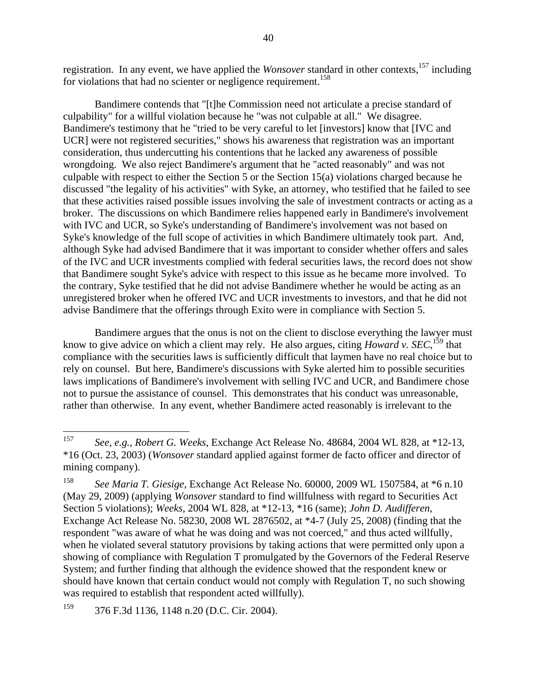registration. In any event, we have applied the *Wonsover* standard in other contexts,<sup>157</sup> including for violations that had no scienter or negligence requirement.<sup>158</sup>

Bandimere contends that "[t]he Commission need not articulate a precise standard of culpability" for a willful violation because he "was not culpable at all." We disagree. Bandimere's testimony that he "tried to be very careful to let [investors] know that [IVC and UCR] were not registered securities," shows his awareness that registration was an important consideration, thus undercutting his contentions that he lacked any awareness of possible wrongdoing. We also reject Bandimere's argument that he "acted reasonably" and was not culpable with respect to either the Section 5 or the Section 15(a) violations charged because he discussed "the legality of his activities" with Syke, an attorney, who testified that he failed to see that these activities raised possible issues involving the sale of investment contracts or acting as a broker. The discussions on which Bandimere relies happened early in Bandimere's involvement with IVC and UCR, so Syke's understanding of Bandimere's involvement was not based on Syke's knowledge of the full scope of activities in which Bandimere ultimately took part. And, although Syke had advised Bandimere that it was important to consider whether offers and sales of the IVC and UCR investments complied with federal securities laws, the record does not show that Bandimere sought Syke's advice with respect to this issue as he became more involved. To the contrary, Syke testified that he did not advise Bandimere whether he would be acting as an unregistered broker when he offered IVC and UCR investments to investors, and that he did not advise Bandimere that the offerings through Exito were in compliance with Section 5.

Bandimere argues that the onus is not on the client to disclose everything the lawyer must know to give advice on which a client may rely. He also argues, citing *Howard v. SEC*,<sup>159</sup> that compliance with the securities laws is sufficiently difficult that laymen have no real choice but to rely on counsel. But here, Bandimere's discussions with Syke alerted him to possible securities laws implications of Bandimere's involvement with selling IVC and UCR, and Bandimere chose not to pursue the assistance of counsel. This demonstrates that his conduct was unreasonable, rather than otherwise. In any event, whether Bandimere acted reasonably is irrelevant to the

<sup>157</sup> <sup>157</sup> *See, e.g.*, *Robert G. Weeks*, Exchange Act Release No. 48684, 2004 WL 828, at \*12-13, \*16 (Oct. 23, 2003) (*Wonsover* standard applied against former de facto officer and director of mining company).

<sup>158</sup> *See Maria T. Giesige*, Exchange Act Release No. 60000, 2009 WL 1507584, at \*6 n.10 (May 29, 2009) (applying *Wonsover* standard to find willfulness with regard to Securities Act Section 5 violations); *Weeks*, 2004 WL 828, at \*12-13, \*16 (same); *John D. Audifferen*, Exchange Act Release No. 58230, 2008 WL 2876502, at \*4-7 (July 25, 2008) (finding that the respondent "was aware of what he was doing and was not coerced," and thus acted willfully, when he violated several statutory provisions by taking actions that were permitted only upon a showing of compliance with Regulation T promulgated by the Governors of the Federal Reserve System; and further finding that although the evidence showed that the respondent knew or should have known that certain conduct would not comply with Regulation T, no such showing was required to establish that respondent acted willfully).

<sup>159</sup> 376 F.3d 1136, 1148 n.20 (D.C. Cir. 2004).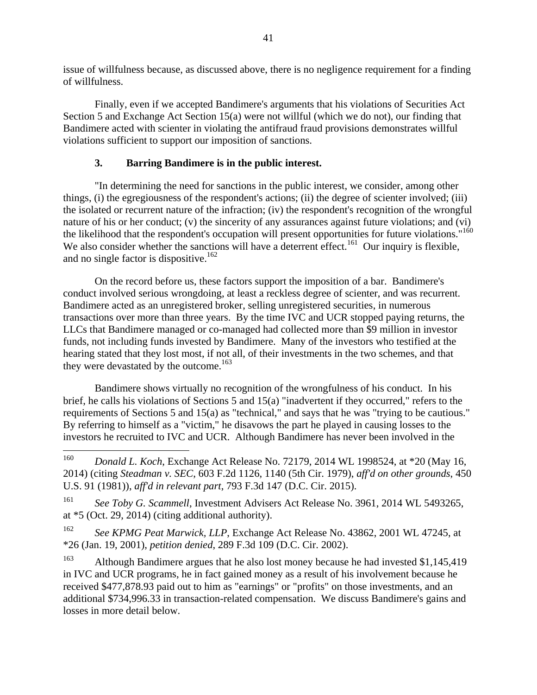issue of willfulness because, as discussed above, there is no negligence requirement for a finding of willfulness.

Finally, even if we accepted Bandimere's arguments that his violations of Securities Act Section 5 and Exchange Act Section 15(a) were not willful (which we do not), our finding that Bandimere acted with scienter in violating the antifraud fraud provisions demonstrates willful violations sufficient to support our imposition of sanctions.

# **3. Barring Bandimere is in the public interest.**

"In determining the need for sanctions in the public interest, we consider, among other things, (i) the egregiousness of the respondent's actions; (ii) the degree of scienter involved; (iii) the isolated or recurrent nature of the infraction; (iv) the respondent's recognition of the wrongful nature of his or her conduct; (v) the sincerity of any assurances against future violations; and (vi) the likelihood that the respondent's occupation will present opportunities for future violations."<sup>160</sup> We also consider whether the sanctions will have a deterrent effect.<sup>161</sup> Our inquiry is flexible, and no single factor is dispositive.<sup>162</sup>

On the record before us, these factors support the imposition of a bar. Bandimere's conduct involved serious wrongdoing, at least a reckless degree of scienter, and was recurrent. Bandimere acted as an unregistered broker, selling unregistered securities, in numerous transactions over more than three years. By the time IVC and UCR stopped paying returns, the LLCs that Bandimere managed or co-managed had collected more than \$9 million in investor funds, not including funds invested by Bandimere. Many of the investors who testified at the hearing stated that they lost most, if not all, of their investments in the two schemes, and that they were devastated by the outcome.<sup>163</sup>

Bandimere shows virtually no recognition of the wrongfulness of his conduct. In his brief, he calls his violations of Sections 5 and 15(a) "inadvertent if they occurred," refers to the requirements of Sections 5 and 15(a) as "technical," and says that he was "trying to be cautious." By referring to himself as a "victim," he disavows the part he played in causing losses to the investors he recruited to IVC and UCR. Although Bandimere has never been involved in the

<sup>160</sup> <sup>160</sup> *Donald L. Koch*, Exchange Act Release No. 72179, 2014 WL 1998524, at \*20 (May 16, 2014) (citing *Steadman v. SEC*, 603 F.2d 1126, 1140 (5th Cir. 1979), *aff'd on other grounds*, 450 U.S. 91 (1981)), *aff'd in relevant part*, 793 F.3d 147 (D.C. Cir. 2015).

<sup>161</sup> *See Toby G. Scammell*, Investment Advisers Act Release No. 3961, 2014 WL 5493265, at \*5 (Oct. 29, 2014) (citing additional authority).

<sup>162</sup> *See KPMG Peat Marwick, LLP*, Exchange Act Release No. 43862, 2001 WL 47245, at \*26 (Jan. 19, 2001), *petition denied*, 289 F.3d 109 (D.C. Cir. 2002).

<sup>&</sup>lt;sup>163</sup> Although Bandimere argues that he also lost money because he had invested \$1,145,419 in IVC and UCR programs, he in fact gained money as a result of his involvement because he received \$477,878.93 paid out to him as "earnings" or "profits" on those investments, and an additional \$734,996.33 in transaction-related compensation. We discuss Bandimere's gains and losses in more detail below.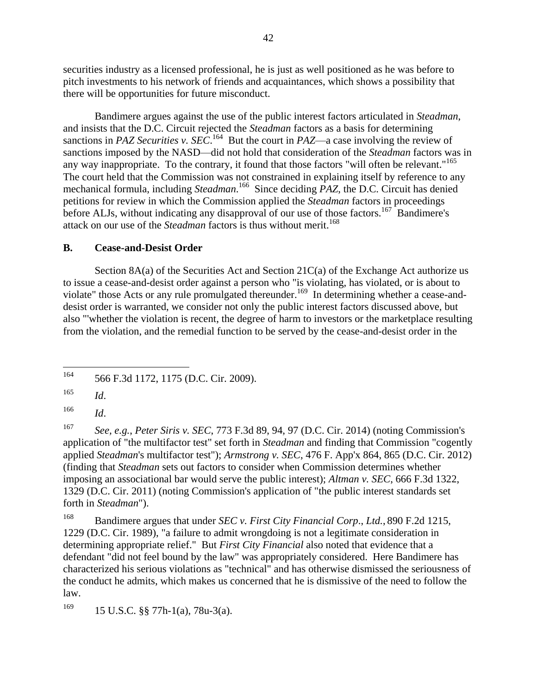securities industry as a licensed professional, he is just as well positioned as he was before to pitch investments to his network of friends and acquaintances, which shows a possibility that there will be opportunities for future misconduct.

Bandimere argues against the use of the public interest factors articulated in *Steadman*, and insists that the D.C. Circuit rejected the *Steadman* factors as a basis for determining sanctions in *PAZ Securities v. SEC*.<sup>164</sup> But the court in *PAZ*—a case involving the review of sanctions imposed by the NASD—did not hold that consideration of the *Steadman* factors was in any way inappropriate. To the contrary, it found that those factors "will often be relevant."<sup>165</sup> The court held that the Commission was not constrained in explaining itself by reference to any mechanical formula, including *Steadman*.<sup>166</sup> Since deciding *PAZ*, the D.C. Circuit has denied petitions for review in which the Commission applied the *Steadman* factors in proceedings before ALJs, without indicating any disapproval of our use of those factors.<sup>167</sup> Bandimere's attack on our use of the *Steadman* factors is thus without merit.<sup>168</sup>

#### **B. Cease-and-Desist Order**

Section 8A(a) of the Securities Act and Section 21C(a) of the Exchange Act authorize us to issue a cease-and-desist order against a person who "is violating, has violated, or is about to violate" those Acts or any rule promulgated thereunder.<sup>169</sup> In determining whether a cease-anddesist order is warranted, we consider not only the public interest factors discussed above, but also "'whether the violation is recent, the degree of harm to investors or the marketplace resulting from the violation, and the remedial function to be served by the cease-and-desist order in the

<sup>166</sup> *Id*.

<sup>167</sup> *See, e.g.*, *Peter Siris v. SEC*, 773 F.3d 89, 94, 97 (D.C. Cir. 2014) (noting Commission's application of "the multifactor test" set forth in *Steadman* and finding that Commission "cogently applied *Steadman*'s multifactor test"); *Armstrong v. SEC*, 476 F. App'x 864, 865 (D.C. Cir. 2012) (finding that *Steadman* sets out factors to consider when Commission determines whether imposing an associational bar would serve the public interest); *Altman v. SEC*, 666 F.3d 1322, 1329 (D.C. Cir. 2011) (noting Commission's application of "the public interest standards set forth in *Steadman*").

<sup>168</sup> Bandimere argues that under *SEC v. First City Financial Corp*., *Ltd.*, 890 F.2d 1215, 1229 (D.C. Cir. 1989), "a failure to admit wrongdoing is not a legitimate consideration in determining appropriate relief." But *First City Financial* also noted that evidence that a defendant "did not feel bound by the law" was appropriately considered. Here Bandimere has characterized his serious violations as "technical" and has otherwise dismissed the seriousness of the conduct he admits, which makes us concerned that he is dismissive of the need to follow the law.

<sup>169</sup> 15 U.S.C. §§ 77h-1(a), 78u-3(a).

<sup>164</sup> 566 F.3d 1172, 1175 (D.C. Cir. 2009).

<sup>165</sup> *Id*.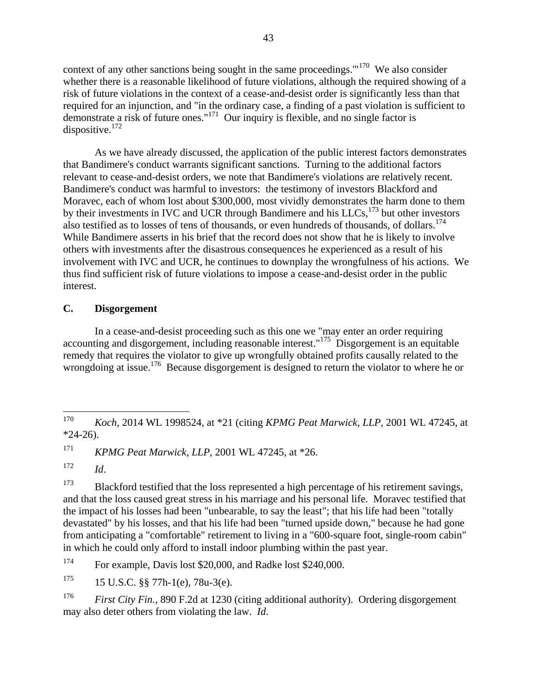context of any other sanctions being sought in the same proceedings." $170$  We also consider whether there is a reasonable likelihood of future violations, although the required showing of a risk of future violations in the context of a cease-and-desist order is significantly less than that required for an injunction, and "in the ordinary case, a finding of a past violation is sufficient to demonstrate a risk of future ones." $171$  Our inquiry is flexible, and no single factor is dispositive. $172$ 

As we have already discussed, the application of the public interest factors demonstrates that Bandimere's conduct warrants significant sanctions. Turning to the additional factors relevant to cease-and-desist orders, we note that Bandimere's violations are relatively recent. Bandimere's conduct was harmful to investors: the testimony of investors Blackford and Moravec, each of whom lost about \$300,000, most vividly demonstrates the harm done to them by their investments in IVC and UCR through Bandimere and his  $LLCs$ ,  $^{173}$  but other investors also testified as to losses of tens of thousands, or even hundreds of thousands, of dollars.<sup>174</sup> While Bandimere asserts in his brief that the record does not show that he is likely to involve others with investments after the disastrous consequences he experienced as a result of his involvement with IVC and UCR, he continues to downplay the wrongfulness of his actions. We thus find sufficient risk of future violations to impose a cease-and-desist order in the public interest.

## **C. Disgorgement**

In a cease-and-desist proceeding such as this one we "may enter an order requiring accounting and disgorgement, including reasonable interest."<sup>175</sup> Disgorgement is an equitable remedy that requires the violator to give up wrongfully obtained profits causally related to the wrongdoing at issue.<sup>176</sup> Because disgorgement is designed to return the violator to where he or

<sup>170</sup> <sup>170</sup> *Koch*, 2014 WL 1998524, at \*21 (citing *KPMG Peat Marwick, LLP*, 2001 WL 47245, at  $*24-26$ ).

<sup>171</sup> *KPMG Peat Marwick, LLP*, 2001 WL 47245, at \*26.

 $172$  *Id.* 

 $173$  Blackford testified that the loss represented a high percentage of his retirement savings, and that the loss caused great stress in his marriage and his personal life. Moravec testified that the impact of his losses had been "unbearable, to say the least"; that his life had been "totally devastated" by his losses, and that his life had been "turned upside down," because he had gone from anticipating a "comfortable" retirement to living in a "600-square foot, single-room cabin" in which he could only afford to install indoor plumbing within the past year.

<sup>174</sup> For example, Davis lost \$20,000, and Radke lost \$240,000.

 $175$  15 U.S.C. §§ 77h-1(e), 78u-3(e).

<sup>176</sup> *First City Fin.*, 890 F.2d at 1230 (citing additional authority). Ordering disgorgement may also deter others from violating the law. *Id*.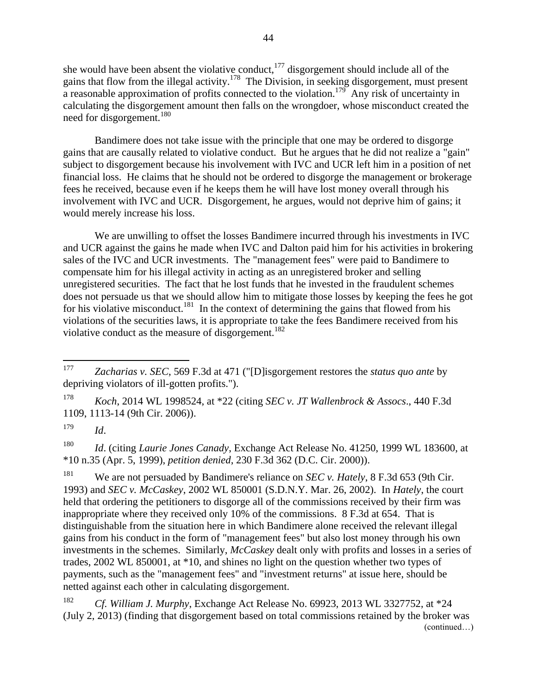she would have been absent the violative conduct, $177$  disgorgement should include all of the gains that flow from the illegal activity.<sup>178</sup> The Division, in seeking disgorgement, must present a reasonable approximation of profits connected to the violation.<sup>179</sup> Any risk of uncertainty in calculating the disgorgement amount then falls on the wrongdoer, whose misconduct created the need for disgorgement.<sup>180</sup>

Bandimere does not take issue with the principle that one may be ordered to disgorge gains that are causally related to violative conduct. But he argues that he did not realize a "gain" subject to disgorgement because his involvement with IVC and UCR left him in a position of net financial loss. He claims that he should not be ordered to disgorge the management or brokerage fees he received, because even if he keeps them he will have lost money overall through his involvement with IVC and UCR. Disgorgement, he argues, would not deprive him of gains; it would merely increase his loss.

We are unwilling to offset the losses Bandimere incurred through his investments in IVC and UCR against the gains he made when IVC and Dalton paid him for his activities in brokering sales of the IVC and UCR investments. The "management fees" were paid to Bandimere to compensate him for his illegal activity in acting as an unregistered broker and selling unregistered securities. The fact that he lost funds that he invested in the fraudulent schemes does not persuade us that we should allow him to mitigate those losses by keeping the fees he got for his violative misconduct.<sup>181</sup> In the context of determining the gains that flowed from his violations of the securities laws, it is appropriate to take the fees Bandimere received from his violative conduct as the measure of disgorgement.<sup>182</sup>

<sup>179</sup> *Id*.

 $\overline{a}$ 

<sup>180</sup> *Id*. (citing *Laurie Jones Canady*, Exchange Act Release No. 41250, 1999 WL 183600, at \*10 n.35 (Apr. 5, 1999), *petition denied*, 230 F.3d 362 (D.C. Cir. 2000)).

<sup>181</sup> We are not persuaded by Bandimere's reliance on *SEC v. Hately*, 8 F.3d 653 (9th Cir. 1993) and *SEC v. McCaskey*, 2002 WL 850001 (S.D.N.Y. Mar. 26, 2002). In *Hately*, the court held that ordering the petitioners to disgorge all of the commissions received by their firm was inappropriate where they received only 10% of the commissions. 8 F.3d at 654. That is distinguishable from the situation here in which Bandimere alone received the relevant illegal gains from his conduct in the form of "management fees" but also lost money through his own investments in the schemes. Similarly, *McCaskey* dealt only with profits and losses in a series of trades, 2002 WL 850001, at \*10, and shines no light on the question whether two types of payments, such as the "management fees" and "investment returns" at issue here, should be netted against each other in calculating disgorgement.

<sup>182</sup> *Cf. William J. Murphy*, Exchange Act Release No. 69923, 2013 WL 3327752, at \*24 (July 2, 2013) (finding that disgorgement based on total commissions retained by the broker was (continued…)

<sup>177</sup> *Zacharias v. SEC*, 569 F.3d at 471 ("[D]isgorgement restores the *status quo ante* by depriving violators of ill-gotten profits.").

<sup>178</sup> *Koch*, 2014 WL 1998524, at \*22 (citing *SEC v. JT Wallenbrock & Assocs*., 440 F.3d 1109, 1113-14 (9th Cir. 2006)).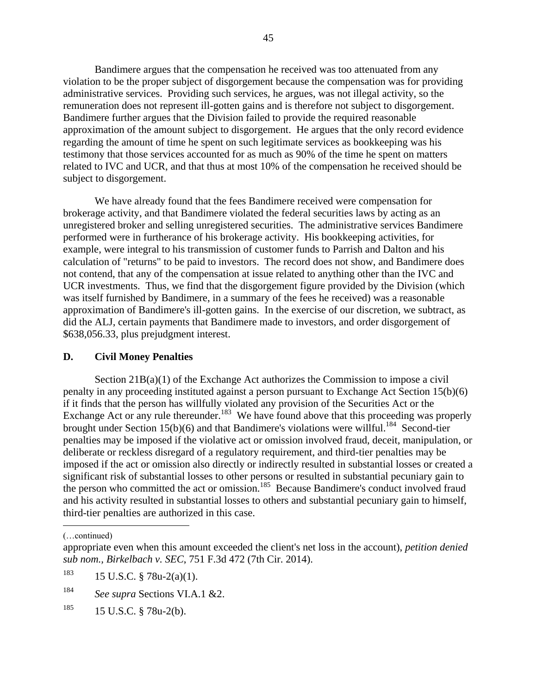Bandimere argues that the compensation he received was too attenuated from any violation to be the proper subject of disgorgement because the compensation was for providing administrative services. Providing such services, he argues, was not illegal activity, so the remuneration does not represent ill-gotten gains and is therefore not subject to disgorgement. Bandimere further argues that the Division failed to provide the required reasonable approximation of the amount subject to disgorgement. He argues that the only record evidence regarding the amount of time he spent on such legitimate services as bookkeeping was his testimony that those services accounted for as much as 90% of the time he spent on matters related to IVC and UCR, and that thus at most 10% of the compensation he received should be subject to disgorgement.

We have already found that the fees Bandimere received were compensation for brokerage activity, and that Bandimere violated the federal securities laws by acting as an unregistered broker and selling unregistered securities. The administrative services Bandimere performed were in furtherance of his brokerage activity. His bookkeeping activities, for example, were integral to his transmission of customer funds to Parrish and Dalton and his calculation of "returns" to be paid to investors. The record does not show, and Bandimere does not contend, that any of the compensation at issue related to anything other than the IVC and UCR investments. Thus, we find that the disgorgement figure provided by the Division (which was itself furnished by Bandimere, in a summary of the fees he received) was a reasonable approximation of Bandimere's ill-gotten gains. In the exercise of our discretion, we subtract, as did the ALJ, certain payments that Bandimere made to investors, and order disgorgement of \$638,056.33, plus prejudgment interest.

#### **D. Civil Money Penalties**

Section  $21B(a)(1)$  of the Exchange Act authorizes the Commission to impose a civil penalty in any proceeding instituted against a person pursuant to Exchange Act Section 15(b)(6) if it finds that the person has willfully violated any provision of the Securities Act or the Exchange Act or any rule thereunder.<sup>183</sup> We have found above that this proceeding was properly brought under Section 15(b)(6) and that Bandimere's violations were willful.<sup>184</sup> Second-tier penalties may be imposed if the violative act or omission involved fraud, deceit, manipulation, or deliberate or reckless disregard of a regulatory requirement, and third-tier penalties may be imposed if the act or omission also directly or indirectly resulted in substantial losses or created a significant risk of substantial losses to other persons or resulted in substantial pecuniary gain to the person who committed the act or omission.<sup>185</sup> Because Bandimere's conduct involved fraud and his activity resulted in substantial losses to others and substantial pecuniary gain to himself, third-tier penalties are authorized in this case.

(…continued)

 $\overline{a}$ 

appropriate even when this amount exceeded the client's net loss in the account), *petition denied sub nom., Birkelbach v. SEC*, 751 F.3d 472 (7th Cir. 2014).

 $183$  15 U.S.C. § 78u-2(a)(1).

<sup>184</sup> *See supra* Sections VI.A.1 &2.

 $185$  15 U.S.C. § 78u-2(b).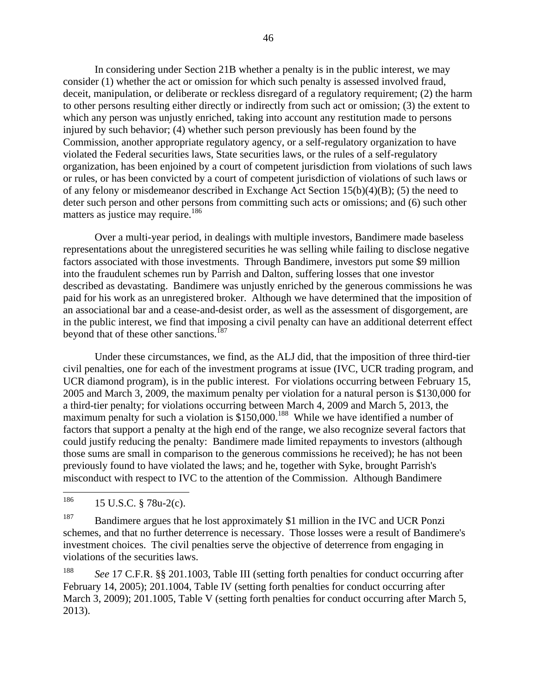In considering under Section 21B whether a penalty is in the public interest, we may consider (1) whether the act or omission for which such penalty is assessed involved fraud, deceit, manipulation, or deliberate or reckless disregard of a regulatory requirement; (2) the harm to other persons resulting either directly or indirectly from such act or omission; (3) the extent to which any person was unjustly enriched, taking into account any restitution made to persons injured by such behavior; (4) whether such person previously has been found by the Commission, another appropriate regulatory agency, or a self-regulatory organization to have violated the Federal securities laws, State securities laws, or the rules of a self-regulatory organization, has been enjoined by a court of competent jurisdiction from violations of such laws or rules, or has been convicted by a court of competent jurisdiction of violations of such laws or of any felony or misdemeanor described in Exchange Act Section  $15(b)(4)(B)$ ; (5) the need to deter such person and other persons from committing such acts or omissions; and (6) such other matters as justice may require.<sup>186</sup>

Over a multi-year period, in dealings with multiple investors, Bandimere made baseless representations about the unregistered securities he was selling while failing to disclose negative factors associated with those investments. Through Bandimere, investors put some \$9 million into the fraudulent schemes run by Parrish and Dalton, suffering losses that one investor described as devastating. Bandimere was unjustly enriched by the generous commissions he was paid for his work as an unregistered broker. Although we have determined that the imposition of an associational bar and a cease-and-desist order, as well as the assessment of disgorgement, are in the public interest, we find that imposing a civil penalty can have an additional deterrent effect beyond that of these other sanctions.<sup>187</sup>

Under these circumstances, we find, as the ALJ did, that the imposition of three third-tier civil penalties, one for each of the investment programs at issue (IVC, UCR trading program, and UCR diamond program), is in the public interest. For violations occurring between February 15, 2005 and March 3, 2009, the maximum penalty per violation for a natural person is \$130,000 for a third-tier penalty; for violations occurring between March 4, 2009 and March 5, 2013, the maximum penalty for such a violation is \$150,000.<sup>188</sup> While we have identified a number of factors that support a penalty at the high end of the range, we also recognize several factors that could justify reducing the penalty: Bandimere made limited repayments to investors (although those sums are small in comparison to the generous commissions he received); he has not been previously found to have violated the laws; and he, together with Syke, brought Parrish's misconduct with respect to IVC to the attention of the Commission. Although Bandimere

186 <sup>186</sup> 15 U.S.C. § 78u-2(c).

<sup>187</sup> Bandimere argues that he lost approximately \$1 million in the IVC and UCR Ponzi schemes, and that no further deterrence is necessary. Those losses were a result of Bandimere's investment choices. The civil penalties serve the objective of deterrence from engaging in violations of the securities laws.

<sup>188</sup> *See* 17 C.F.R. §§ 201.1003, Table III (setting forth penalties for conduct occurring after February 14, 2005); 201.1004, Table IV (setting forth penalties for conduct occurring after March 3, 2009); 201.1005, Table V (setting forth penalties for conduct occurring after March 5, 2013).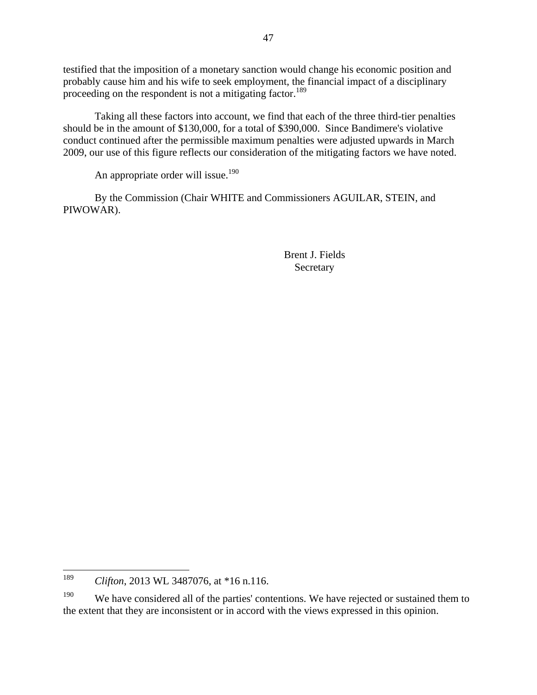testified that the imposition of a monetary sanction would change his economic position and probably cause him and his wife to seek employment, the financial impact of a disciplinary proceeding on the respondent is not a mitigating factor.<sup>189</sup>

Taking all these factors into account, we find that each of the three third-tier penalties should be in the amount of \$130,000, for a total of \$390,000. Since Bandimere's violative conduct continued after the permissible maximum penalties were adjusted upwards in March 2009, our use of this figure reflects our consideration of the mitigating factors we have noted.

An appropriate order will issue.<sup>190</sup>

By the Commission (Chair WHITE and Commissioners AGUILAR, STEIN, and PIWOWAR).

> Brent J. Fields Secretary

<sup>189</sup> <sup>189</sup> *Clifton*, 2013 WL 3487076, at \*16 n.116.

<sup>&</sup>lt;sup>190</sup> We have considered all of the parties' contentions. We have rejected or sustained them to the extent that they are inconsistent or in accord with the views expressed in this opinion.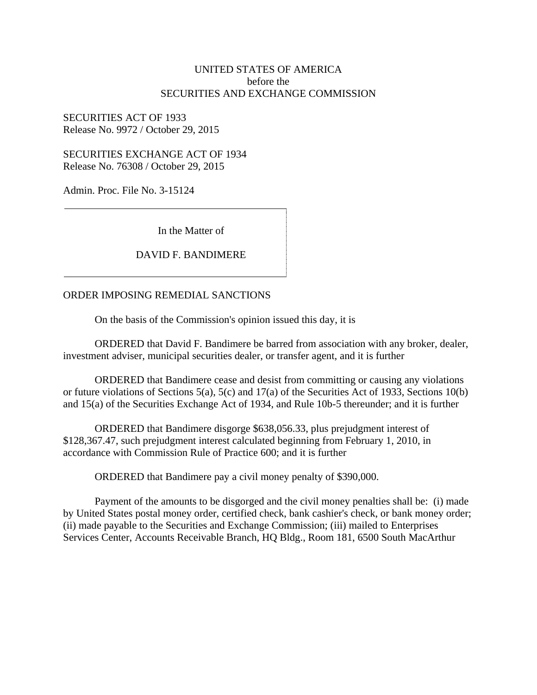#### UNITED STATES OF AMERICA before the SECURITIES AND EXCHANGE COMMISSION

SECURITIES ACT OF 1933 Release No. 9972 / October 29, 2015

SECURITIES EXCHANGE ACT OF 1934 Release No. 76308 / October 29, 2015

Admin. Proc. File No. 3-15124

In the Matter of

#### DAVID F. BANDIMERE

#### ORDER IMPOSING REMEDIAL SANCTIONS

On the basis of the Commission's opinion issued this day, it is

ORDERED that David F. Bandimere be barred from association with any broker, dealer, investment adviser, municipal securities dealer, or transfer agent, and it is further

ORDERED that Bandimere cease and desist from committing or causing any violations or future violations of Sections 5(a), 5(c) and 17(a) of the Securities Act of 1933, Sections 10(b) and 15(a) of the Securities Exchange Act of 1934, and Rule 10b-5 thereunder; and it is further

ORDERED that Bandimere disgorge \$638,056.33, plus prejudgment interest of \$128,367.47, such prejudgment interest calculated beginning from February 1, 2010, in accordance with Commission Rule of Practice 600; and it is further

ORDERED that Bandimere pay a civil money penalty of \$390,000.

Payment of the amounts to be disgorged and the civil money penalties shall be: (i) made by United States postal money order, certified check, bank cashier's check, or bank money order; (ii) made payable to the Securities and Exchange Commission; (iii) mailed to Enterprises Services Center, Accounts Receivable Branch, HQ Bldg., Room 181, 6500 South MacArthur